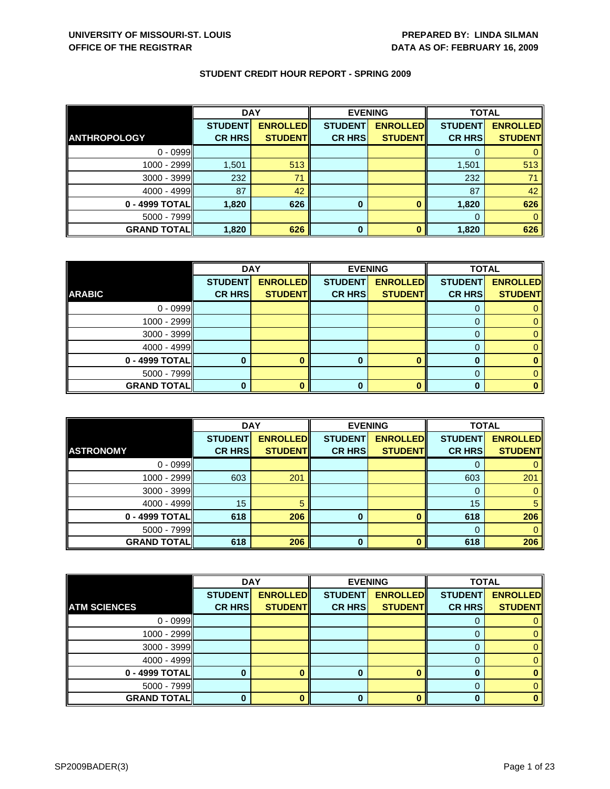|                     | <b>DAY</b>     |                 | <b>EVENING</b> |                 | <b>TOTAL</b>   |                 |
|---------------------|----------------|-----------------|----------------|-----------------|----------------|-----------------|
|                     | <b>STUDENT</b> | <b>ENROLLED</b> | <b>STUDENT</b> | <b>ENROLLED</b> | <b>STUDENT</b> | <b>ENROLLED</b> |
| <b>ANTHROPOLOGY</b> | <b>CR HRS</b>  | <b>STUDENT</b>  | <b>CR HRS</b>  | <b>STUDENT</b>  | <b>CR HRS</b>  | <b>STUDENT</b>  |
| $0 - 0999$          |                |                 |                |                 |                |                 |
| 1000 - 2999         | 1,501          | 513             |                |                 | 1,501          | 513             |
| $3000 - 3999$       | 232            | 71              |                |                 | 232            | 71              |
| $4000 - 4999$       | 87             | 42              |                |                 | 87             | 42              |
| 0 - 4999 TOTAL      | 1,820          | 626             | $\bf{0}$       |                 | 1,820          | 626             |
| $5000 - 7999$       |                |                 |                |                 | 0              |                 |
| <b>GRAND TOTAL</b>  | 1,820          | 626             | 0              |                 | 1,820          | 626             |

|                    | <b>DAY</b>     |                 |                | <b>EVENING</b>  | <b>TOTAL</b>   |                 |
|--------------------|----------------|-----------------|----------------|-----------------|----------------|-----------------|
|                    | <b>STUDENT</b> | <b>ENROLLED</b> | <b>STUDENT</b> | <b>ENROLLED</b> | <b>STUDENT</b> | <b>ENROLLED</b> |
| <b>ARABIC</b>      | <b>CR HRS</b>  | <b>STUDENT</b>  | <b>CR HRS</b>  | <b>STUDENT</b>  | <b>CR HRS</b>  | <b>STUDENT</b>  |
| $0 - 0999$         |                |                 |                |                 |                |                 |
| $1000 - 2999$      |                |                 |                |                 |                |                 |
| $3000 - 3999$      |                |                 |                |                 | O              |                 |
| $4000 - 4999$      |                |                 |                |                 |                |                 |
| 0 - 4999 TOTAL     |                |                 | 0              | $\mathbf{0}$    | O              |                 |
| 5000 - 7999        |                |                 |                |                 |                |                 |
| <b>GRAND TOTAL</b> |                |                 |                | n               |                |                 |

|                    | <b>DAY</b>     |                 | <b>EVENING</b> |                 | <b>TOTAL</b>   |                 |
|--------------------|----------------|-----------------|----------------|-----------------|----------------|-----------------|
|                    | <b>STUDENT</b> | <b>ENROLLED</b> | <b>STUDENT</b> | <b>ENROLLED</b> | <b>STUDENT</b> | <b>ENROLLED</b> |
| <b>ASTRONOMY</b>   | <b>CR HRS</b>  | <b>STUDENT</b>  | <b>CR HRS</b>  | <b>STUDENT</b>  | <b>CR HRS</b>  | <b>STUDENT</b>  |
| $0 - 0999$         |                |                 |                |                 |                |                 |
| 1000 - 2999        | 603            | 201             |                |                 | 603            | 201             |
| 3000 - 3999        |                |                 |                |                 |                |                 |
| $4000 - 4999$      | 15             |                 |                |                 | 15             |                 |
| $0 - 4999$ TOTAL   | 618            | 206             | $\bf{0}$       |                 | 618            | 206             |
| $5000 - 7999$      |                |                 |                |                 |                |                 |
| <b>GRAND TOTAL</b> | 618            | 206             | $\bf{0}$       |                 | 618            | 206             |

|                     | <b>DAY</b>     |                 |                | <b>EVENING</b>  | <b>TOTAL</b>   |                 |
|---------------------|----------------|-----------------|----------------|-----------------|----------------|-----------------|
|                     | <b>STUDENT</b> | <b>ENROLLED</b> | <b>STUDENT</b> | <b>ENROLLED</b> | <b>STUDENT</b> | <b>ENROLLED</b> |
| <b>ATM SCIENCES</b> | <b>CR HRS</b>  | <b>STUDENT</b>  | <b>CR HRS</b>  | <b>STUDENT</b>  | <b>CR HRS</b>  | <b>STUDENT</b>  |
| $0 - 0999$          |                |                 |                |                 |                |                 |
| 1000 - 2999         |                |                 |                |                 |                | 0               |
| 3000 - 3999         |                |                 |                |                 |                | 0               |
| $4000 - 4999$       |                |                 |                |                 | 0              | 0               |
| 0 - 4999 TOTAL      |                |                 | 0              | ∩               | 0              |                 |
| 5000 - 7999         |                |                 |                |                 |                | 0               |
| <b>GRAND TOTAL</b>  |                |                 | 0              |                 | 0              | 0               |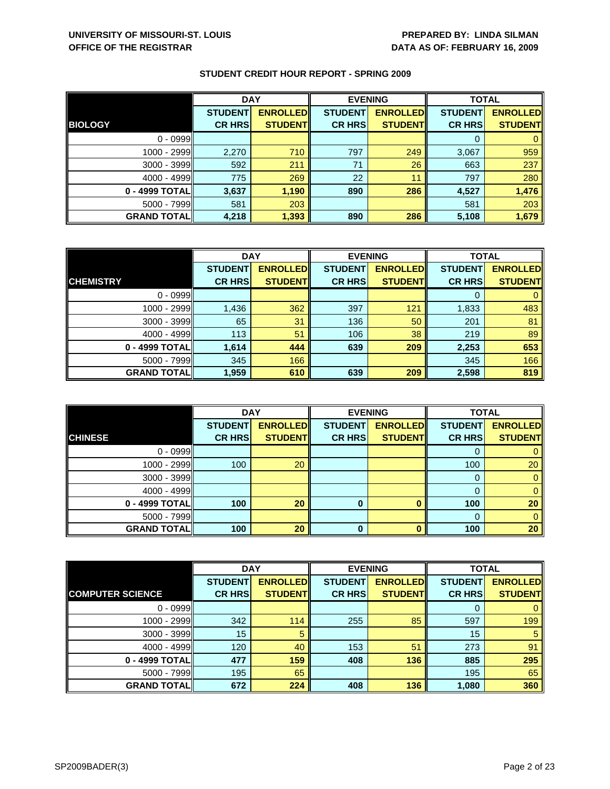|                    | <b>DAY</b>     |                 | <b>EVENING</b> |                 | <b>TOTAL</b>   |                 |
|--------------------|----------------|-----------------|----------------|-----------------|----------------|-----------------|
|                    | <b>STUDENT</b> | <b>ENROLLED</b> | <b>STUDENT</b> | <b>ENROLLED</b> | <b>STUDENT</b> | <b>ENROLLED</b> |
| <b>BIOLOGY</b>     | <b>CR HRS</b>  | <b>STUDENT</b>  | <b>CR HRS</b>  | <b>STUDENT</b>  | <b>CR HRS</b>  | <b>STUDENT</b>  |
| $0 - 0999$         |                |                 |                |                 |                |                 |
| 1000 - 2999        | 2,270          | 710             | 797            | 249             | 3,067          | 959             |
| $3000 - 3999$      | 592            | 211             | 71             | 26              | 663            | 237             |
| $4000 - 4999$      | 775            | 269             | 22             | 11              | 797            | 280             |
| 0 - 4999 TOTAL     | 3,637          | 1,190           | 890            | 286             | 4,527          | 1,476           |
| $5000 - 7999$      | 581            | 203             |                |                 | 581            | 203             |
| <b>GRAND TOTAL</b> | 4,218          | 1,393           | 890            | 286             | 5,108          | 1,679           |

|                    | <b>DAY</b>     |                 |                | <b>EVENING</b>   | <b>TOTAL</b>   |                 |
|--------------------|----------------|-----------------|----------------|------------------|----------------|-----------------|
|                    | <b>STUDENT</b> | <b>ENROLLED</b> | <b>STUDENT</b> | <b>ENROLLEDI</b> | <b>STUDENT</b> | <b>ENROLLED</b> |
| <b>CHEMISTRY</b>   | <b>CR HRS</b>  | <b>STUDENT</b>  | <b>CR HRS</b>  | <b>STUDENT</b>   | <b>CR HRS</b>  | <b>STUDENT</b>  |
| $0 - 0999$         |                |                 |                |                  | 0              | 0               |
| 1000 - 2999        | 1,436          | 362             | 397            | 121              | 1,833          | 483             |
| 3000 - 3999        | 65             | 31              | 136            | 50               | 201            | 81              |
| $4000 - 4999$      | 113            | 51              | 106            | 38               | 219            | 89              |
| 0 - 4999 TOTAL     | 1,614          | 444             | 639            | 209              | 2,253          | 653             |
| $5000 - 7999$      | 345            | 166             |                |                  | 345            | 166             |
| <b>GRAND TOTAL</b> | 1,959          | 610             | 639            | 209              | 2,598          | 819             |

|                    | <b>DAY</b>                      |                                   |                                 | <b>EVENING</b>                    | <b>TOTAL</b>                    |                                   |
|--------------------|---------------------------------|-----------------------------------|---------------------------------|-----------------------------------|---------------------------------|-----------------------------------|
| <b>CHINESE</b>     | <b>STUDENT</b><br><b>CR HRS</b> | <b>ENROLLED</b><br><b>STUDENT</b> | <b>STUDENT</b><br><b>CR HRS</b> | <b>ENROLLED</b><br><b>STUDENT</b> | <b>STUDENT</b><br><b>CR HRS</b> | <b>ENROLLED</b><br><b>STUDENT</b> |
|                    |                                 |                                   |                                 |                                   |                                 |                                   |
| $0 - 0999$         |                                 |                                   |                                 |                                   | O                               |                                   |
| 1000 - 2999        | 100                             | 20                                |                                 |                                   | 100                             | 20                                |
| $3000 - 3999$      |                                 |                                   |                                 |                                   | 0                               | 0                                 |
| $4000 - 4999$      |                                 |                                   |                                 |                                   | 0                               |                                   |
| 0 - 4999 TOTAL     | 100                             | 20                                | 0                               | n                                 | 100                             | 20                                |
| $5000 - 7999$      |                                 |                                   |                                 |                                   | $\Omega$                        | 0                                 |
| <b>GRAND TOTAL</b> | 100                             | 20                                | 0                               |                                   | 100                             | 20                                |

|                         | <b>DAY</b>     |                 |                | <b>EVENING</b>  | <b>TOTAL</b>   |                 |
|-------------------------|----------------|-----------------|----------------|-----------------|----------------|-----------------|
|                         | <b>STUDENT</b> | <b>ENROLLED</b> | <b>STUDENT</b> | <b>ENROLLED</b> | <b>STUDENT</b> | <b>ENROLLED</b> |
| <b>COMPUTER SCIENCE</b> | <b>CR HRS</b>  | <b>STUDENT</b>  | <b>CR HRS</b>  | <b>STUDENT</b>  | <b>CR HRS</b>  | <b>STUDENT</b>  |
| $0 - 0999$              |                |                 |                |                 | 0              | 0               |
| $1000 - 2999$           | 342            | 114             | 255            | 85              | 597            | 199             |
| $3000 - 3999$           | 15             | 5               |                |                 | 15             | 5               |
| $4000 - 4999$           | 120            | 40              | 153            | 51              | 273            | 91              |
| 0 - 4999 TOTAL          | 477            | 159             | 408            | 136             | 885            | 295             |
| $5000 - 7999$           | 195            | 65              |                |                 | 195            | 65              |
| <b>GRAND TOTAL</b>      | 672            | 224             | 408            | 136             | 1,080          | 360             |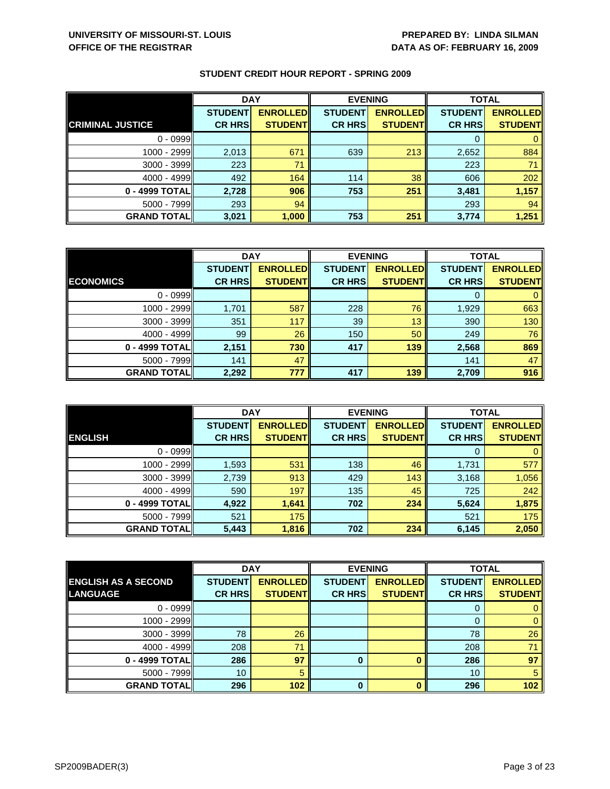|                         | <b>DAY</b>     |                 | <b>EVENING</b> |                 | <b>TOTAL</b>   |                 |
|-------------------------|----------------|-----------------|----------------|-----------------|----------------|-----------------|
|                         | <b>STUDENT</b> | <b>ENROLLED</b> | <b>STUDENT</b> | <b>ENROLLED</b> | <b>STUDENT</b> | <b>ENROLLED</b> |
| <b>CRIMINAL JUSTICE</b> | <b>CR HRS</b>  | <b>STUDENT</b>  | <b>CR HRS</b>  | <b>STUDENT</b>  | <b>CR HRS</b>  | <b>STUDENT</b>  |
| $0 - 0999$              |                |                 |                |                 |                |                 |
| $1000 - 2999$           | 2,013          | 671             | 639            | 213             | 2,652          | 884             |
| 3000 - 3999             | 223            | 71              |                |                 | 223            | 71              |
| $4000 - 4999$           | 492            | 164             | 114            | 38              | 606            | 202             |
| 0 - 4999 TOTAL          | 2,728          | 906             | 753            | 251             | 3,481          | 1,157           |
| 5000 - 7999             | 293            | 94              |                |                 | 293            | 94              |
| <b>GRAND TOTAL</b>      | 3,021          | 1,000           | 753            | 251             | 3,774          | 1,251           |

|                    | <b>DAY</b>     |                 |                | <b>EVENING</b>  |                | <b>TOTAL</b>    |  |
|--------------------|----------------|-----------------|----------------|-----------------|----------------|-----------------|--|
|                    | <b>STUDENT</b> | <b>ENROLLED</b> | <b>STUDENT</b> | <b>ENROLLED</b> | <b>STUDENT</b> | <b>ENROLLED</b> |  |
| <b>ECONOMICS</b>   | <b>CR HRS</b>  | <b>STUDENT</b>  | <b>CR HRS</b>  | <b>STUDENT</b>  | <b>CR HRS</b>  | <b>STUDENT</b>  |  |
| $0 - 0999$         |                |                 |                |                 |                |                 |  |
| 1000 - 2999        | 1,701          | 587             | 228            | 76              | 1,929          | 663             |  |
| $3000 - 3999$      | 351            | 117             | 39             | 13              | 390            | 130             |  |
| $4000 - 4999$      | 99             | 26              | 150            | 50              | 249            | 76              |  |
| 0 - 4999 TOTAL     | 2,151          | 730             | 417            | 139             | 2,568          | 869             |  |
| $5000 - 7999$      | 141            | 47              |                |                 | 141            | 47              |  |
| <b>GRAND TOTAL</b> | 2,292          | 777             | 417            | 139             | 2,709          | 916             |  |

|                     | <b>DAY</b>     |                 |                | <b>EVENING</b>  | <b>TOTAL</b>   |                 |
|---------------------|----------------|-----------------|----------------|-----------------|----------------|-----------------|
|                     | <b>STUDENT</b> | <b>ENROLLED</b> | <b>STUDENT</b> | <b>ENROLLED</b> | <b>STUDENT</b> | <b>ENROLLED</b> |
| <b>ENGLISH</b>      | <b>CR HRS</b>  | <b>STUDENT</b>  | <b>CR HRS</b>  | <b>STUDENT</b>  | <b>CR HRS</b>  | <b>STUDENT</b>  |
| $0 - 0999$          |                |                 |                |                 | O              | $\mathbf{0}$    |
| 1000 - 2999         | 1,593          | 531             | 138            | 46              | 1,731          | 577             |
| $3000 - 3999$       | 2,739          | 913             | 429            | 143             | 3,168          | 1,056           |
| $4000 - 4999$       | 590            | 197             | 135            | 45              | 725            | 242             |
| 0 - 4999 TOTAL      | 4,922          | 1,641           | 702            | 234             | 5,624          | 1,875           |
| $5000 - 7999$       | 521            | 175             |                |                 | 521            | 175             |
| <b>GRAND TOTALI</b> | 5,443          | 1,816           | 702            | 234             | 6,145          | 2,050           |

|                            | <b>DAY</b>     |                 |                | <b>EVENING</b>  | <b>TOTAL</b>   |                 |
|----------------------------|----------------|-----------------|----------------|-----------------|----------------|-----------------|
| <b>ENGLISH AS A SECOND</b> | <b>STUDENT</b> | <b>ENROLLED</b> | <b>STUDENT</b> | <b>ENROLLED</b> | <b>STUDENT</b> | <b>ENROLLED</b> |
| <b>LANGUAGE</b>            | <b>CR HRS</b>  | <b>STUDENT</b>  | <b>CR HRS</b>  | <b>STUDENT</b>  | <b>CR HRS</b>  | <b>STUDENT</b>  |
| $0 - 0999$                 |                |                 |                |                 |                | 0               |
| 1000 - 2999                |                |                 |                |                 | 0              | $\mathbf{0}$    |
| $3000 - 3999$              | 78             | 26              |                |                 | 78             | 26              |
| $4000 - 4999$              | 208            | 71              |                |                 | 208            | 71              |
| 0 - 4999 TOTAL             | 286            | 97              | 0              |                 | 286            | 97              |
| $5000 - 7999$              | 10             | 5               |                |                 | 10             | 5               |
| <b>GRAND TOTAL</b>         | 296            | 102             | $\bf{0}$       |                 | 296            | 102             |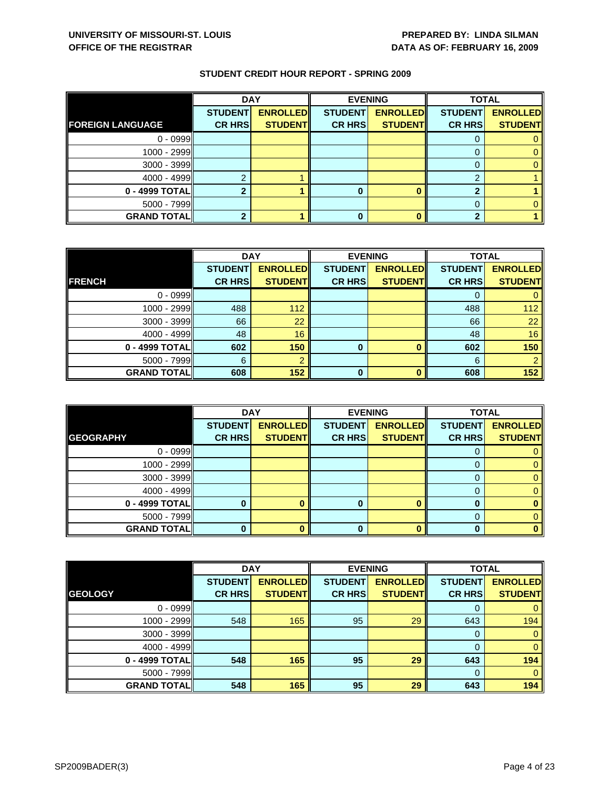|                         | <b>DAY</b>     |                 | <b>EVENING</b> |                 | <b>TOTAL</b>   |                 |
|-------------------------|----------------|-----------------|----------------|-----------------|----------------|-----------------|
|                         | <b>STUDENT</b> | <b>ENROLLED</b> | <b>STUDENT</b> | <b>ENROLLED</b> | <b>STUDENT</b> | <b>ENROLLED</b> |
| <b>FOREIGN LANGUAGE</b> | <b>CR HRS</b>  | <b>STUDENT</b>  | <b>CR HRS</b>  | <b>STUDENT</b>  | <b>CR HRS</b>  | <b>STUDENT</b>  |
| $0 - 0999$              |                |                 |                |                 |                |                 |
| $1000 - 2999$           |                |                 |                |                 |                |                 |
| $3000 - 3999$           |                |                 |                |                 |                |                 |
| $4000 - 4999$           |                |                 |                |                 | $\Omega$       |                 |
| $0 - 4999$ TOTAL        |                |                 | 0              |                 |                |                 |
| $5000 - 7999$           |                |                 |                |                 |                |                 |
| <b>GRAND TOTAL</b>      |                |                 | 0              |                 |                |                 |

|                    | <b>DAY</b>     |                 |                | <b>EVENING</b>  | <b>TOTAL</b>   |                 |
|--------------------|----------------|-----------------|----------------|-----------------|----------------|-----------------|
|                    | <b>STUDENT</b> | <b>ENROLLED</b> | <b>STUDENT</b> | <b>ENROLLED</b> | <b>STUDENT</b> | <b>ENROLLED</b> |
| <b>FRENCH</b>      | <b>CR HRS</b>  | <b>STUDENT</b>  | <b>CR HRS</b>  | <b>STUDENT</b>  | <b>CR HRS</b>  | <b>STUDENT</b>  |
| $0 - 0999$         |                |                 |                |                 |                |                 |
| $1000 - 2999$      | 488            | 112             |                |                 | 488            | 112             |
| 3000 - 3999        | 66             | 22              |                |                 | 66             | 22              |
| $4000 - 4999$      | 48             | 16              |                |                 | 48             | 16              |
| 0 - 4999 TOTAL     | 602            | 150             | 0              |                 | 602            | 150             |
| $5000 - 7999$      | 6              |                 |                |                 | 6              |                 |
| <b>GRAND TOTAL</b> | 608            | 152             | $\Omega$       |                 | 608            | 152             |

|                    | <b>DAY</b>                      |                                   |                                 | <b>EVENING</b>                    | <b>TOTAL</b>                    |                                   |
|--------------------|---------------------------------|-----------------------------------|---------------------------------|-----------------------------------|---------------------------------|-----------------------------------|
| <b>GEOGRAPHY</b>   | <b>STUDENT</b><br><b>CR HRS</b> | <b>ENROLLED</b><br><b>STUDENT</b> | <b>STUDENT</b><br><b>CR HRS</b> | <b>ENROLLED</b><br><b>STUDENT</b> | <b>STUDENT</b><br><b>CR HRS</b> | <b>ENROLLED</b><br><b>STUDENT</b> |
|                    |                                 |                                   |                                 |                                   |                                 |                                   |
| $0 - 0999$         |                                 |                                   |                                 |                                   | O                               |                                   |
| 1000 - 2999        |                                 |                                   |                                 |                                   |                                 |                                   |
| $3000 - 3999$      |                                 |                                   |                                 |                                   |                                 |                                   |
| $4000 - 4999$      |                                 |                                   |                                 |                                   | 0                               |                                   |
| 0 - 4999 TOTAL     |                                 |                                   |                                 | ∩                                 |                                 |                                   |
| $5000 - 7999$      |                                 |                                   |                                 |                                   |                                 |                                   |
| <b>GRAND TOTAL</b> |                                 |                                   | 0                               |                                   |                                 |                                   |

|                    | <b>DAY</b>     |                 |                | <b>EVENING</b>  | <b>TOTAL</b>   |                 |
|--------------------|----------------|-----------------|----------------|-----------------|----------------|-----------------|
|                    | <b>STUDENT</b> | <b>ENROLLED</b> | <b>STUDENT</b> | <b>ENROLLED</b> | <b>STUDENT</b> | <b>ENROLLED</b> |
| <b>GEOLOGY</b>     | <b>CR HRS</b>  | <b>STUDENT</b>  | <b>CR HRS</b>  | <b>STUDENT</b>  | <b>CR HRS</b>  | <b>STUDENT</b>  |
| $0 - 0999$         |                |                 |                |                 | 0              | 0               |
| $1000 - 2999$      | 548            | 165             | 95             | 29              | 643            | 194             |
| $3000 - 3999$      |                |                 |                |                 | $\Omega$       | $\mathbf{0}$    |
| $4000 - 4999$      |                |                 |                |                 | $\Omega$       | $\mathbf{0}$    |
| 0 - 4999 TOTAL     | 548            | 165             | 95             | 29              | 643            | 194             |
| $5000 - 7999$      |                |                 |                |                 | $\Omega$       | $\mathbf{0}$    |
| <b>GRAND TOTAL</b> | 548            | 165             | 95             | 29              | 643            | 194             |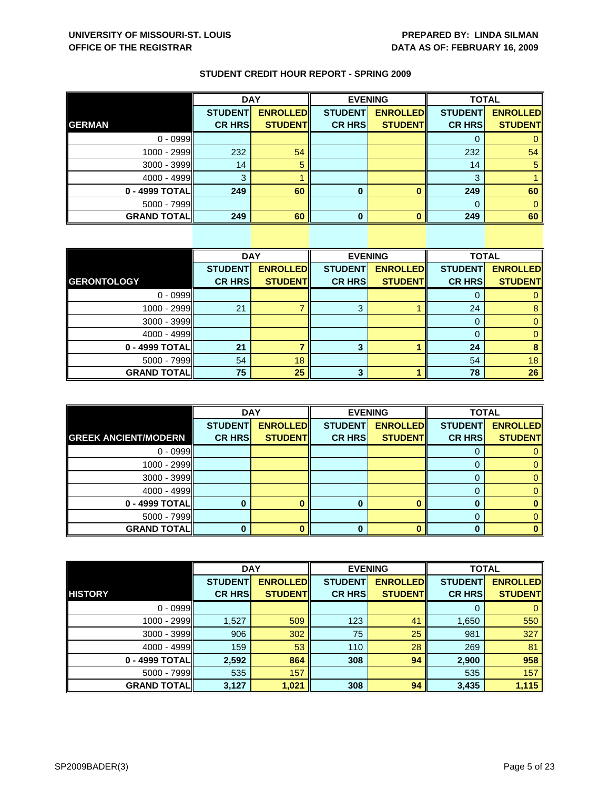|                    | <b>DAY</b>     |                 |                | <b>EVENING</b>  |                | <b>TOTAL</b>    |  |
|--------------------|----------------|-----------------|----------------|-----------------|----------------|-----------------|--|
|                    | <b>STUDENT</b> | <b>ENROLLED</b> | <b>STUDENT</b> | <b>ENROLLED</b> | <b>STUDENT</b> | <b>ENROLLED</b> |  |
| <b>GERMAN</b>      | <b>CR HRS</b>  | <b>STUDENT</b>  | <b>CR HRS</b>  | <b>STUDENT</b>  | <b>CR HRS</b>  | <b>STUDENT</b>  |  |
| $0 - 0999$         |                |                 |                |                 |                |                 |  |
| 1000 - 2999        | 232            | 54              |                |                 | 232            | 54              |  |
| 3000 - 3999        | 14             | 5               |                |                 | 14             | 5               |  |
| $4000 - 4999$      | З              |                 |                |                 | 3              |                 |  |
| 0 - 4999 TOTAL     | 249            | 60              | 0              |                 | 249            | 60              |  |
| $5000 - 7999$      |                |                 |                |                 |                |                 |  |
| <b>GRAND TOTAL</b> | 249            | 60              | U              |                 | 249            | 60              |  |

|                    | <b>DAY</b>     |                 |                | <b>EVENING</b>  | <b>TOTAL</b>   |                 |
|--------------------|----------------|-----------------|----------------|-----------------|----------------|-----------------|
|                    | <b>STUDENT</b> | <b>ENROLLED</b> | <b>STUDENT</b> | <b>ENROLLED</b> | <b>STUDENT</b> | <b>ENROLLED</b> |
| <b>GERONTOLOGY</b> | <b>CR HRS</b>  | <b>STUDENT</b>  | <b>CR HRS</b>  | <b>STUDENT</b>  | <b>CR HRS</b>  | <b>STUDENT</b>  |
| $0 - 0999$         |                |                 |                |                 | 0              | 0               |
| $1000 - 2999$      | 21             |                 | 3              |                 | 24             | 8               |
| $3000 - 3999$      |                |                 |                |                 |                | $\mathbf{0}$    |
| $4000 - 4999$      |                |                 |                |                 | 0              | $\mathbf{0}$    |
| 0 - 4999 TOTAL     | 21             |                 | 3              |                 | 24             | 8               |
| $5000 - 7999$      | 54             | 18              |                |                 | 54             | 18              |
| <b>GRAND TOTAL</b> | 75             | 25              | 3              |                 | 78             | 26              |

|                             | <b>DAY</b>     |                 |                | <b>EVENING</b>  | <b>TOTAL</b>   |                 |
|-----------------------------|----------------|-----------------|----------------|-----------------|----------------|-----------------|
|                             | <b>STUDENT</b> | <b>ENROLLED</b> | <b>STUDENT</b> | <b>ENROLLED</b> | <b>STUDENT</b> | <b>ENROLLED</b> |
| <b>GREEK ANCIENT/MODERN</b> | <b>CR HRS</b>  | <b>STUDENT</b>  | <b>CR HRS</b>  | <b>STUDENT</b>  | <b>CR HRS</b>  | <b>STUDENT</b>  |
| $0 - 0999$                  |                |                 |                |                 | O              | 0.              |
| 1000 - 2999                 |                |                 |                |                 |                | 0               |
| $3000 - 3999$               |                |                 |                |                 |                | 0.              |
| $4000 - 4999$               |                |                 |                |                 | 0              | 0.              |
| 0 - 4999 TOTAL              |                |                 | 0              |                 |                |                 |
| $5000 - 7999$               |                |                 |                |                 | 0              | 0               |
| <b>GRAND TOTALI</b>         |                |                 | 0              |                 |                |                 |

|                    | <b>DAY</b>     |                 |                | <b>EVENING</b>  |                | <b>TOTAL</b>    |  |
|--------------------|----------------|-----------------|----------------|-----------------|----------------|-----------------|--|
|                    | <b>STUDENT</b> | <b>ENROLLED</b> | <b>STUDENT</b> | <b>ENROLLED</b> | <b>STUDENT</b> | <b>ENROLLED</b> |  |
| <b>HISTORY</b>     | <b>CR HRS</b>  | <b>STUDENT</b>  | <b>CR HRS</b>  | <b>STUDENT</b>  | <b>CR HRS</b>  | <b>STUDENT</b>  |  |
| $0 - 0999$         |                |                 |                |                 | 0              | $\mathbf{0}$    |  |
| 1000 - 2999        | 1,527          | 509             | 123            | 41              | 1,650          | 550             |  |
| $3000 - 3999$      | 906            | 302             | 75             | 25              | 981            | 327             |  |
| $4000 - 4999$      | 159            | 53              | 110            | 28              | 269            | 81              |  |
| 0 - 4999 TOTAL     | 2,592          | 864             | 308            | 94              | 2,900          | 958             |  |
| $5000 - 7999$      | 535            | 157             |                |                 | 535            | 157             |  |
| <b>GRAND TOTAL</b> | 3,127          | 1,021           | 308            | 94              | 3,435          | 1,115           |  |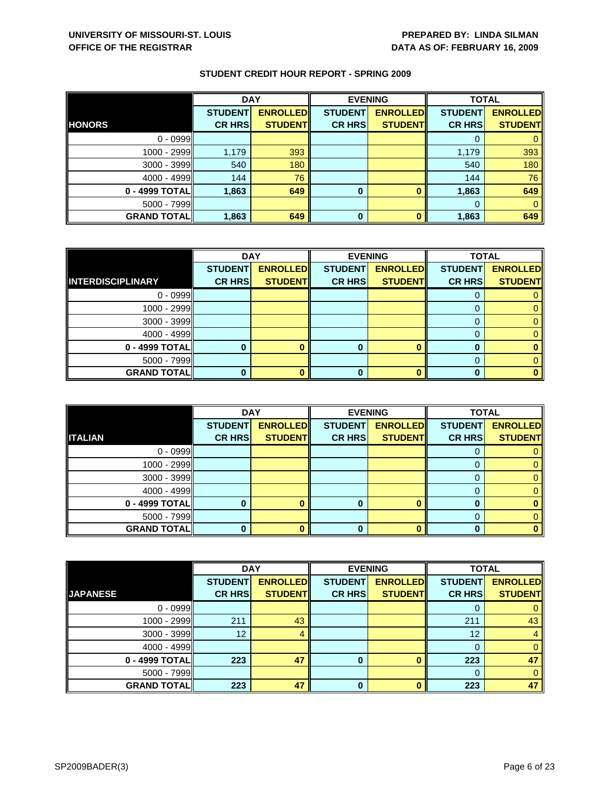|                    | <b>DAY</b>     |                 | <b>EVENING</b> |                 | <b>TOTAL</b>   |                 |
|--------------------|----------------|-----------------|----------------|-----------------|----------------|-----------------|
|                    | <b>STUDENT</b> | <b>ENROLLED</b> | <b>STUDENT</b> | <b>ENROLLED</b> | <b>STUDENT</b> | <b>ENROLLED</b> |
| <b>HONORS</b>      | <b>CR HRS</b>  | <b>STUDENT</b>  | <b>CR HRS</b>  | <b>STUDENT</b>  | <b>CR HRS</b>  | <b>STUDENT</b>  |
| $0 - 0999$         |                |                 |                |                 |                |                 |
| 1000 - 2999        | 1,179          | 393             |                |                 | 1,179          | 393             |
| $3000 - 3999$      | 540            | 180             |                |                 | 540            | 180             |
| $4000 - 4999$      | 144            | 76              |                |                 | 144            | 76              |
| 0 - 4999 TOTAL     | 1,863          | 649             | $\bf{0}$       |                 | 1,863          | 649             |
| $5000 - 7999$      |                |                 |                |                 | $\Omega$       |                 |
| <b>GRAND TOTAL</b> | 1,863          | 649             | $\bf{0}$       |                 | 1,863          | 649             |

|                          | <b>DAY</b>     |                 | <b>EVENING</b> |                 | <b>TOTAL</b>   |                 |
|--------------------------|----------------|-----------------|----------------|-----------------|----------------|-----------------|
|                          | <b>STUDENT</b> | <b>ENROLLED</b> | <b>STUDENT</b> | <b>ENROLLED</b> | <b>STUDENT</b> | <b>ENROLLED</b> |
| <b>INTERDISCIPLINARY</b> | <b>CR HRS</b>  | <b>STUDENT</b>  | <b>CR HRS</b>  | <b>STUDENT</b>  | <b>CR HRS</b>  | <b>STUDENT</b>  |
| $0 - 0999$               |                |                 |                |                 |                |                 |
| 1000 - 2999              |                |                 |                |                 | $\Omega$       |                 |
| $3000 - 3999$            |                |                 |                |                 | 0              |                 |
| 4000 - 4999              |                |                 |                |                 |                | 0               |
| 0 - 4999 TOTAL           |                |                 | 0              |                 | O              |                 |
| 5000 - 7999              |                |                 |                |                 | 0              |                 |
| <b>GRAND TOTAL</b>       |                |                 | ŋ              |                 |                |                 |

|                    | <b>DAY</b>     |                 |                | <b>EVENING</b>  | <b>TOTAL</b>   |                 |
|--------------------|----------------|-----------------|----------------|-----------------|----------------|-----------------|
|                    | <b>STUDENT</b> | <b>ENROLLED</b> | <b>STUDENT</b> | <b>ENROLLED</b> | <b>STUDENT</b> | <b>ENROLLED</b> |
| <b>ITALIAN</b>     | <b>CR HRS</b>  | <b>STUDENT</b>  | <b>CR HRS</b>  | <b>STUDENT</b>  | <b>CR HRS</b>  | <b>STUDENT</b>  |
| $0 - 0999$         |                |                 |                |                 |                |                 |
| 1000 - 2999        |                |                 |                |                 |                |                 |
| $3000 - 3999$      |                |                 |                |                 |                |                 |
| $4000 - 4999$      |                |                 |                |                 |                |                 |
| 0 - 4999 TOTAL     |                |                 |                |                 |                |                 |
| $5000 - 7999$      |                |                 |                |                 |                |                 |
| <b>GRAND TOTAL</b> |                |                 | 0              |                 | $\bf{0}$       |                 |

|                    | <b>DAY</b>      |                 |                | <b>EVENING</b>  | <b>TOTAL</b>   |                 |
|--------------------|-----------------|-----------------|----------------|-----------------|----------------|-----------------|
|                    | <b>STUDENT</b>  | <b>ENROLLED</b> | <b>STUDENT</b> | <b>ENROLLED</b> | <b>STUDENT</b> | <b>ENROLLED</b> |
| <b>JAPANESE</b>    | <b>CR HRS</b>   | <b>STUDENT</b>  | <b>CR HRS</b>  | <b>STUDENT</b>  | <b>CR HRS</b>  | <b>STUDENT</b>  |
| $0 - 0999$         |                 |                 |                |                 |                | 0               |
| $1000 - 2999$      | 211             | 43              |                |                 | 211            | 43              |
| $3000 - 3999$      | 12 <sup>°</sup> | 4               |                |                 | 12             | 4               |
| $4000 - 4999$      |                 |                 |                |                 | $\Omega$       | $\mathbf{0}$    |
| 0 - 4999 TOTAL     | 223             | 47              | 0              |                 | 223            | 47              |
| $5000 - 7999$      |                 |                 |                |                 | $\Omega$       | $\mathbf{0}$    |
| <b>GRAND TOTAL</b> | 223             | 47              |                |                 | 223            | 47              |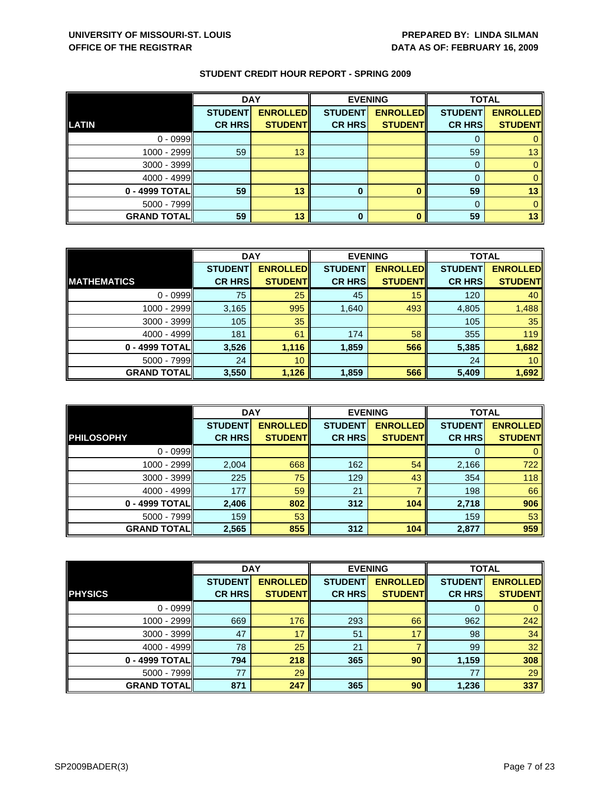|                    | <b>DAY</b>     |                 |                | <b>EVENING</b>  | <b>TOTAL</b>   |                 |
|--------------------|----------------|-----------------|----------------|-----------------|----------------|-----------------|
|                    | <b>STUDENT</b> | <b>ENROLLED</b> | <b>STUDENT</b> | <b>ENROLLED</b> | <b>STUDENT</b> | <b>ENROLLED</b> |
| <b>LATIN</b>       | <b>CR HRS</b>  | <b>STUDENT</b>  | <b>CR HRS</b>  | <b>STUDENT</b>  | <b>CR HRS</b>  | <b>STUDENT</b>  |
| $0 - 0999$         |                |                 |                |                 |                |                 |
| 1000 - 2999        | 59             | 13              |                |                 | 59             | 13              |
| 3000 - 3999        |                |                 |                |                 |                |                 |
| $4000 - 4999$      |                |                 |                |                 |                |                 |
| 0 - 4999 TOTAL     | 59             | 13              | 0              |                 | 59             | 13              |
| $5000 - 7999$      |                |                 |                |                 |                |                 |
| <b>GRAND TOTAL</b> | 59             | 13              | $\bf{0}$       |                 | 59             | 13              |

|                    | <b>DAY</b>     |                 |                | <b>EVENING</b>  | <b>TOTAL</b>   |                 |
|--------------------|----------------|-----------------|----------------|-----------------|----------------|-----------------|
|                    | <b>STUDENT</b> | <b>ENROLLED</b> | <b>STUDENT</b> | <b>ENROLLED</b> | <b>STUDENT</b> | <b>ENROLLED</b> |
| <b>MATHEMATICS</b> | <b>CR HRS</b>  | <b>STUDENT</b>  | <b>CR HRS</b>  | <b>STUDENT</b>  | <b>CR HRS</b>  | <b>STUDENT</b>  |
| $0 - 0999$         | 75             | 25              | 45             | 15              | 120            | 40              |
| $1000 - 2999$      | 3,165          | 995             | 1,640          | 493             | 4,805          | 1,488           |
| $3000 - 3999$      | 105            | 35              |                |                 | 105            | 35              |
| $4000 - 4999$      | 181            | 61              | 174            | 58              | 355            | 119             |
| 0 - 4999 TOTAL     | 3,526          | 1,116           | 1,859          | 566             | 5,385          | 1,682           |
| $5000 - 7999$      | 24             | 10 <sup>°</sup> |                |                 | 24             | 10 <sup>°</sup> |
| <b>GRAND TOTAL</b> | 3,550          | 1,126           | 1,859          | 566             | 5,409          | 1,692           |

|                    | <b>DAY</b>     |                 |                | <b>EVENING</b>  | <b>TOTAL</b>   |                 |
|--------------------|----------------|-----------------|----------------|-----------------|----------------|-----------------|
|                    | <b>STUDENT</b> | <b>ENROLLED</b> | <b>STUDENT</b> | <b>ENROLLED</b> | <b>STUDENT</b> | <b>ENROLLED</b> |
| <b>PHILOSOPHY</b>  | <b>CR HRS</b>  | <b>STUDENTI</b> | <b>CR HRS</b>  | <b>STUDENTI</b> | <b>CR HRS</b>  | <b>STUDENT</b>  |
| $0 - 0999$         |                |                 |                |                 | $\Omega$       |                 |
| 1000 - 2999        | 2,004          | 668             | 162            | 54              | 2,166          | 722             |
| 3000 - 3999        | 225            | 75              | 129            | 43              | 354            | 118             |
| $4000 - 4999$      | 177            | 59              | 21             |                 | 198            | 66              |
| 0 - 4999 TOTAL     | 2,406          | 802             | 312            | 104             | 2,718          | 906             |
| $5000 - 7999$      | 159            | 53              |                |                 | 159            | 53              |
| <b>GRAND TOTAL</b> | 2,565          | 855             | 312            | 104             | 2,877          | 959             |

|                    | <b>DAY</b>     |                 | <b>EVENING</b> |                 | <b>TOTAL</b>   |                 |
|--------------------|----------------|-----------------|----------------|-----------------|----------------|-----------------|
|                    | <b>STUDENT</b> | <b>ENROLLED</b> | <b>STUDENT</b> | <b>ENROLLED</b> | <b>STUDENT</b> | <b>ENROLLED</b> |
| <b>PHYSICS</b>     | <b>CR HRS</b>  | <b>STUDENT</b>  | <b>CR HRS</b>  | <b>STUDENT</b>  | <b>CR HRS</b>  | <b>STUDENT</b>  |
| $0 - 0999$         |                |                 |                |                 | O              | $\mathbf{0}$    |
| 1000 - 2999        | 669            | 176             | 293            | 66              | 962            | 242             |
| $3000 - 3999$      | 47             | 17              | 51             | 17              | 98             | 34              |
| $4000 - 4999$      | 78             | 25              | 21             |                 | 99             | 32              |
| 0 - 4999 TOTAL     | 794            | 218             | 365            | 90              | 1,159          | 308             |
| $5000 - 7999$      | 77             | 29              |                |                 | 77             | 29              |
| <b>GRAND TOTAL</b> | 871            | 247             | 365            | 90              | 1,236          | 337             |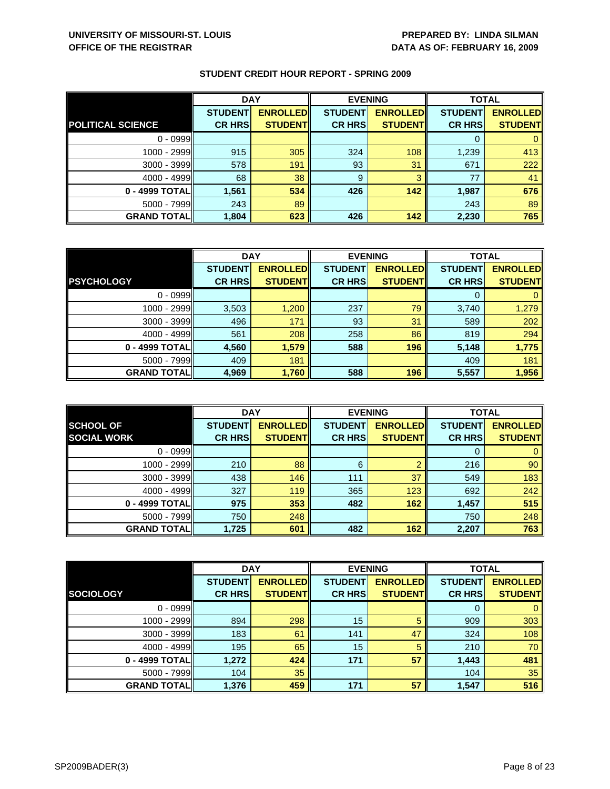|                          | <b>DAY</b>     |                 | <b>EVENING</b> |                 | <b>TOTAL</b>   |                 |
|--------------------------|----------------|-----------------|----------------|-----------------|----------------|-----------------|
|                          | <b>STUDENT</b> | <b>ENROLLED</b> | <b>STUDENT</b> | <b>ENROLLED</b> | <b>STUDENT</b> | <b>ENROLLED</b> |
| <b>POLITICAL SCIENCE</b> | <b>CR HRS</b>  | <b>STUDENT</b>  | <b>CR HRS</b>  | <b>STUDENT</b>  | <b>CR HRS</b>  | <b>STUDENT</b>  |
| $0 - 0999$               |                |                 |                |                 |                |                 |
| $1000 - 2999$            | 915            | 305             | 324            | 108             | 1,239          | 413             |
| 3000 - 3999              | 578            | 191             | 93             | 31              | 671            | 222             |
| $4000 - 4999$            | 68             | 38              | 9              | 3               | 77             | 41              |
| 0 - 4999 TOTAL           | 1,561          | 534             | 426            | 142             | 1,987          | 676             |
| 5000 - 7999              | 243            | 89              |                |                 | 243            | 89              |
| <b>GRAND TOTAL</b>       | 1,804          | 623             | 426            | 142             | 2,230          | 765             |

|                    | <b>DAY</b>     |                 |                | <b>EVENING</b>  | <b>TOTAL</b>   |                 |
|--------------------|----------------|-----------------|----------------|-----------------|----------------|-----------------|
|                    | <b>STUDENT</b> | <b>ENROLLED</b> | <b>STUDENT</b> | <b>ENROLLED</b> | <b>STUDENT</b> | <b>ENROLLED</b> |
| <b>PSYCHOLOGY</b>  | <b>CR HRS</b>  | <b>STUDENT</b>  | <b>CR HRS</b>  | <b>STUDENT</b>  | <b>CR HRS</b>  | <b>STUDENT</b>  |
| $0 - 0999$         |                |                 |                |                 | 0              | $\mathbf{0}$    |
| $1000 - 2999$      | 3,503          | 1,200           | 237            | 79              | 3,740          | 1,279           |
| $3000 - 3999$      | 496            | 171             | 93             | 31              | 589            | 202             |
| $4000 - 4999$      | 561            | 208             | 258            | 86              | 819            | 294             |
| 0 - 4999 TOTAL     | 4,560          | 1,579           | 588            | 196             | 5,148          | 1,775           |
| $5000 - 7999$      | 409            | 181             |                |                 | 409            | 181             |
| <b>GRAND TOTAL</b> | 4,969          | 1,760           | 588            | 196             | 5,557          | 1,956           |

|                                        | <b>DAY</b>                      |                                    | <b>EVENING</b>                  |                                   | <b>TOTAL</b>                    |                                   |
|----------------------------------------|---------------------------------|------------------------------------|---------------------------------|-----------------------------------|---------------------------------|-----------------------------------|
| <b>SCHOOL OF</b><br><b>SOCIAL WORK</b> | <b>STUDENT</b><br><b>CR HRS</b> | <b>ENROLLED</b><br><b>STUDENTI</b> | <b>STUDENT</b><br><b>CR HRS</b> | <b>ENROLLED</b><br><b>STUDENT</b> | <b>STUDENT</b><br><b>CR HRS</b> | <b>ENROLLED</b><br><b>STUDENT</b> |
|                                        |                                 |                                    |                                 |                                   |                                 |                                   |
| $0 - 0999$                             |                                 |                                    |                                 |                                   | O                               |                                   |
| 1000 - 2999                            | 210                             | 88                                 | 6                               | 0                                 | 216                             | 90                                |
| $3000 - 3999$                          | 438                             | 146                                | 111                             | 37                                | 549                             | 183                               |
| $4000 - 4999$                          | 327                             | 119                                | 365                             | 123                               | 692                             | 242                               |
| 0 - 4999 TOTALI                        | 975                             | 353                                | 482                             | 162                               | 1,457                           | 515                               |
| $5000 - 7999$                          | 750                             | 248                                |                                 |                                   | 750                             | 248                               |
| <b>GRAND TOTALI</b>                    | 1,725                           | 601                                | 482                             | 162                               | 2,207                           | 763                               |

|                    | <b>DAY</b>     |                 |                | <b>EVENING</b>  |                | <b>TOTAL</b>    |  |
|--------------------|----------------|-----------------|----------------|-----------------|----------------|-----------------|--|
|                    | <b>STUDENT</b> | <b>ENROLLED</b> | <b>STUDENT</b> | <b>ENROLLED</b> | <b>STUDENT</b> | <b>ENROLLED</b> |  |
| <b>SOCIOLOGY</b>   | <b>CR HRS</b>  | <b>STUDENT</b>  | <b>CR HRS</b>  | <b>STUDENT</b>  | <b>CR HRS</b>  | <b>STUDENT</b>  |  |
| $0 - 0999$         |                |                 |                |                 | 0              | 0               |  |
| 1000 - 2999        | 894            | 298             | 15             | 5               | 909            | 303             |  |
| $3000 - 3999$      | 183            | 61              | 141            | 47              | 324            | 108             |  |
| $4000 - 4999$      | 195            | 65              | 15             | 5               | 210            | 70              |  |
| 0 - 4999 TOTAL     | 1,272          | 424             | 171            | 57              | 1,443          | 481             |  |
| $5000 - 7999$      | 104            | 35              |                |                 | 104            | 35              |  |
| <b>GRAND TOTAL</b> | 1,376          | 459             | 171            | 57              | 1,547          | 516             |  |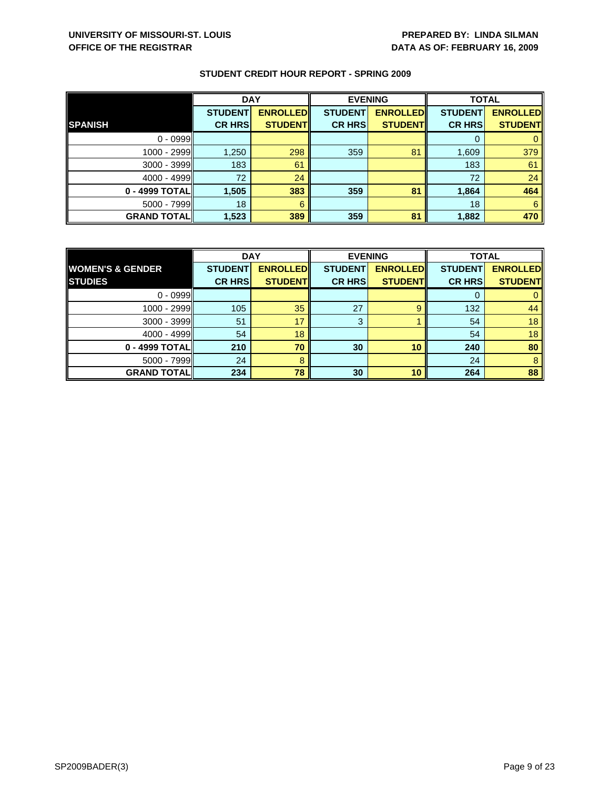|                    | <b>DAY</b>     |                 |                | <b>EVENING</b>  | <b>TOTAL</b>   |                 |
|--------------------|----------------|-----------------|----------------|-----------------|----------------|-----------------|
|                    | <b>STUDENT</b> | <b>ENROLLED</b> | <b>STUDENT</b> | <b>ENROLLED</b> | <b>STUDENT</b> | <b>ENROLLED</b> |
| <b>SPANISH</b>     | <b>CR HRS</b>  | <b>STUDENT</b>  | <b>CR HRS</b>  | <b>STUDENT</b>  | <b>CR HRS</b>  | <b>STUDENT</b>  |
| $0 - 0999$         |                |                 |                |                 |                |                 |
| 1000 - 2999        | 1,250          | 298             | 359            | 81              | 1,609          | 379             |
| 3000 - 3999        | 183            | 61              |                |                 | 183            | 61              |
| $4000 - 4999$      | 72             | 24              |                |                 | 72             | 24              |
| 0 - 4999 TOTAL     | 1,505          | 383             | 359            | 81              | 1,864          | 464             |
| $5000 - 7999$      | 18             | 6               |                |                 | 18             | 6               |
| <b>GRAND TOTAL</b> | 1,523          | 389             | 359            | 81              | 1,882          | 470             |

|                             | <b>DAY</b>     |                 | <b>EVENING</b> |                 | <b>TOTAL</b>   |                 |
|-----------------------------|----------------|-----------------|----------------|-----------------|----------------|-----------------|
| <b>WOMEN'S &amp; GENDER</b> | <b>STUDENT</b> | <b>ENROLLED</b> | <b>STUDENT</b> | <b>ENROLLED</b> | <b>STUDENT</b> | <b>ENROLLED</b> |
| <b>STUDIES</b>              | <b>CR HRS</b>  | <b>STUDENT</b>  | <b>CR HRS</b>  | <b>STUDENT</b>  | <b>CR HRS</b>  | <b>STUDENT</b>  |
| $0 - 0999$                  |                |                 |                |                 |                |                 |
| $1000 - 2999$               | 105            | 35              | 27             | 9               | 132            | 44              |
| $3000 - 3999$               | 51             | 17              | 3              |                 | 54             | 18              |
| $4000 - 4999$               | 54             | 18              |                |                 | 54             | 18              |
| 0 - 4999 TOTAL              | 210            | 70              | 30             | 10              | 240            | 80              |
| $5000 - 7999$               | 24             | 8               |                |                 | 24             | 8               |
| <b>GRAND TOTAL</b>          | 234            | 78              | 30             | 10              | 264            | 88              |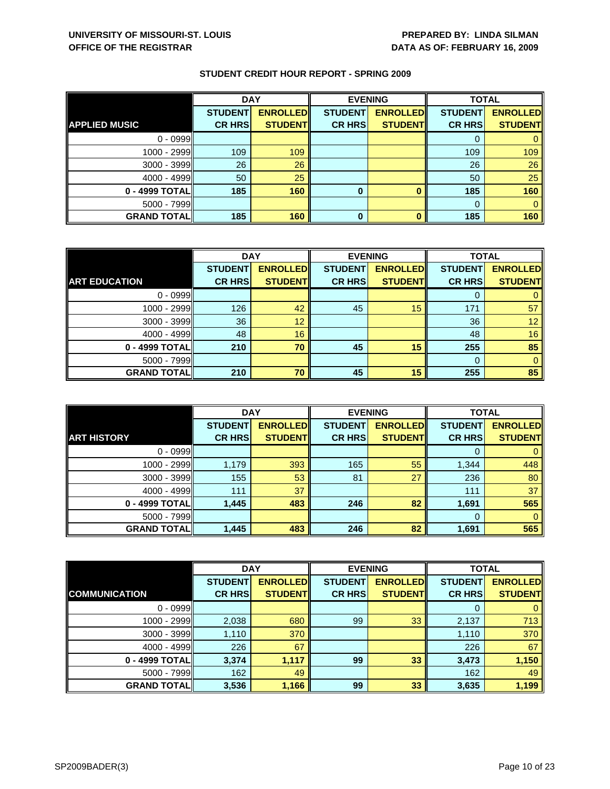|                      | <b>DAY</b>     |                 | <b>EVENING</b> |                 | <b>TOTAL</b>   |                 |
|----------------------|----------------|-----------------|----------------|-----------------|----------------|-----------------|
|                      | <b>STUDENT</b> | <b>ENROLLED</b> | <b>STUDENT</b> | <b>ENROLLED</b> | <b>STUDENT</b> | <b>ENROLLED</b> |
| <b>APPLIED MUSIC</b> | <b>CR HRS</b>  | <b>STUDENT</b>  | <b>CR HRS</b>  | <b>STUDENT</b>  | <b>CR HRS</b>  | <b>STUDENT</b>  |
| $0 - 0999$           |                |                 |                |                 |                |                 |
| 1000 - 2999II        | 109            | 109             |                |                 | 109            | 109             |
| 3000 - 3999          | 26             | 26              |                |                 | 26             | 26              |
| $4000 - 4999$        | 50             | 25              |                |                 | 50             | 25              |
| 0 - 4999 TOTAL       | 185            | 160             | 0              |                 | 185            | 160             |
| $5000 - 7999$        |                |                 |                |                 |                |                 |
| <b>GRAND TOTAL</b>   | 185            | 160             | $\bf{0}$       |                 | 185            | 160             |

|                      | <b>DAY</b>     |                 | <b>EVENING</b> |                 | <b>TOTAL</b>   |                 |
|----------------------|----------------|-----------------|----------------|-----------------|----------------|-----------------|
|                      | <b>STUDENT</b> | <b>ENROLLED</b> | <b>STUDENT</b> | <b>ENROLLED</b> | <b>STUDENT</b> | <b>ENROLLED</b> |
| <b>ART EDUCATION</b> | <b>CR HRS</b>  | <b>STUDENT</b>  | <b>CR HRS</b>  | <b>STUDENT</b>  | <b>CR HRS</b>  | <b>STUDENT</b>  |
| $0 - 0999$           |                |                 |                |                 |                | 0               |
| 1000 - 2999          | 126            | 42              | 45             | 15              | 171            | 57              |
| $3000 - 3999$        | 36             | 12              |                |                 | 36             | 12 <sup>1</sup> |
| $4000 - 4999$        | 48             | 16              |                |                 | 48             | 16              |
| 0 - 4999 TOTAL       | 210            | 70              | 45             | 15              | 255            | 85              |
| $5000 - 7999$        |                |                 |                |                 | 0              | $\mathbf{0}$    |
| <b>GRAND TOTAL</b>   | 210            | 70              | 45             | 15              | 255            | 85              |

|                    | <b>DAY</b>                      |                                    | <b>EVENING</b>                  |                                   | <b>TOTAL</b>                    |                                   |
|--------------------|---------------------------------|------------------------------------|---------------------------------|-----------------------------------|---------------------------------|-----------------------------------|
| <b>ART HISTORY</b> | <b>STUDENT</b><br><b>CR HRS</b> | <b>ENROLLED</b><br><b>STUDENTI</b> | <b>STUDENT</b><br><b>CR HRS</b> | <b>ENROLLED</b><br><b>STUDENT</b> | <b>STUDENT</b><br><b>CR HRS</b> | <b>ENROLLED</b><br><b>STUDENT</b> |
| $0 - 0999$         |                                 |                                    |                                 |                                   | O                               |                                   |
| 1000 - 2999        | 1,179                           | 393                                | 165                             | 55                                | 1,344                           | 448                               |
| $3000 - 3999$      | 155                             | 53                                 | 81                              | 27                                | 236                             | 80                                |
| $4000 - 4999$      | 111                             | 37                                 |                                 |                                   | 111                             | 37                                |
| 0 - 4999 TOTALI    | 1,445                           | 483                                | 246                             | 82                                | 1,691                           | 565                               |
| $5000 - 7999$      |                                 |                                    |                                 |                                   | $\Omega$                        | 0                                 |
| <b>GRAND TOTAL</b> | 1,445                           | 483                                | 246                             | 82                                | 1,691                           | 565                               |

|                      | <b>DAY</b>     |                 |                | <b>EVENING</b>  | <b>TOTAL</b>   |                 |
|----------------------|----------------|-----------------|----------------|-----------------|----------------|-----------------|
|                      | <b>STUDENT</b> | <b>ENROLLED</b> | <b>STUDENT</b> | <b>ENROLLED</b> | <b>STUDENT</b> | <b>ENROLLED</b> |
| <b>COMMUNICATION</b> | <b>CR HRS</b>  | <b>STUDENT</b>  | <b>CR HRS</b>  | <b>STUDENT</b>  | <b>CR HRS</b>  | <b>STUDENT</b>  |
| $0 - 0999$           |                |                 |                |                 | 0              | 0               |
| 1000 - 2999          | 2,038          | 680             | 99             | 33              | 2,137          | 713             |
| $3000 - 3999$        | 1,110          | 370             |                |                 | 1,110          | 370             |
| $4000 - 4999$        | 226            | 67              |                |                 | 226            | 67              |
| 0 - 4999 TOTAL       | 3,374          | 1,117           | 99             | 33              | 3,473          | 1,150           |
| $5000 - 7999$        | 162            | 49              |                |                 | 162            | 49              |
| <b>GRAND TOTAL</b>   | 3,536          | 1,166           | 99             | 33              | 3,635          | 1,199           |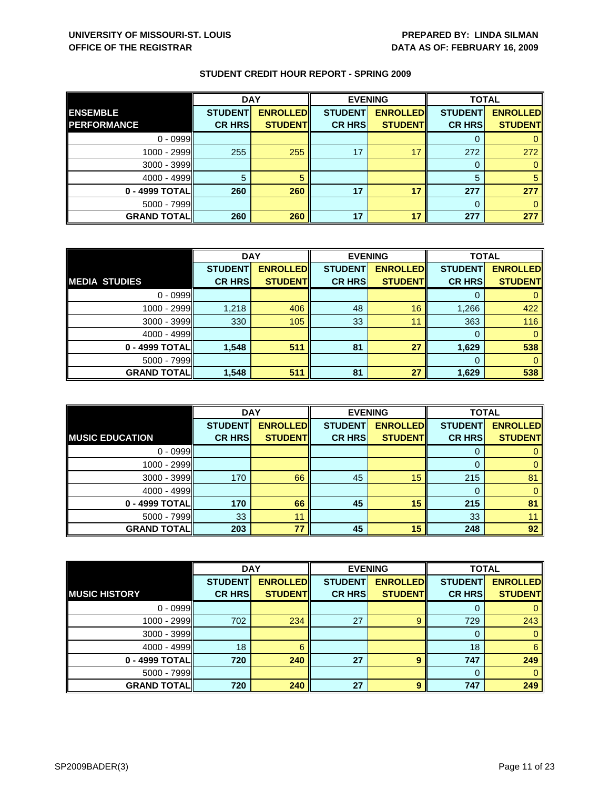|                    | <b>DAY</b>     |                 | <b>EVENING</b> |                 | <b>TOTAL</b>   |                 |
|--------------------|----------------|-----------------|----------------|-----------------|----------------|-----------------|
| <b>ENSEMBLE</b>    | <b>STUDENT</b> | <b>ENROLLED</b> | <b>STUDENT</b> | <b>ENROLLED</b> | <b>STUDENT</b> | <b>ENROLLED</b> |
| <b>PERFORMANCE</b> | <b>CR HRS</b>  | <b>STUDENT</b>  | <b>CR HRS</b>  | <b>STUDENT</b>  | <b>CR HRS</b>  | <b>STUDENT</b>  |
| $0 - 0999$         |                |                 |                |                 |                |                 |
| $1000 - 2999$      | 255            | 255             | 17             | 17              | 272            | 272             |
| $3000 - 3999$      |                |                 |                |                 | 0              |                 |
| $4000 - 4999$      | 5              |                 |                |                 | 5              |                 |
| 0 - 4999 TOTAL     | 260            | 260             | 17             | 17              | 277            | 277             |
| $5000 - 7999$      |                |                 |                |                 | 0              |                 |
| <b>GRAND TOTAL</b> | 260            | 260             | 17             | 17              | 277            | 277             |

|                      | <b>DAY</b>     |                 | <b>EVENING</b> |                 | <b>TOTAL</b>   |                 |
|----------------------|----------------|-----------------|----------------|-----------------|----------------|-----------------|
|                      | <b>STUDENT</b> | <b>ENROLLED</b> | <b>STUDENT</b> | <b>ENROLLED</b> | <b>STUDENT</b> | <b>ENROLLED</b> |
| <b>MEDIA STUDIES</b> | <b>CR HRS</b>  | <b>STUDENT</b>  | <b>CR HRS</b>  | <b>STUDENT</b>  | <b>CR HRS</b>  | <b>STUDENT</b>  |
| $0 - 0999$           |                |                 |                |                 |                |                 |
| 1000 - 2999          | 1,218          | 406             | 48             | 16              | 1,266          | 422             |
| $3000 - 3999$        | 330            | 105             | 33             | 11              | 363            | 116             |
| $4000 - 4999$        |                |                 |                |                 | 0              |                 |
| $0 - 4999$ TOTAL     | 1,548          | 511             | 81             | 27              | 1,629          | 538             |
| $5000 - 7999$        |                |                 |                |                 | 0              |                 |
| <b>GRAND TOTAL</b>   | 1,548          | 511             | 81             | 27              | 1,629          | 538             |

|                        | <b>DAY</b>     |                 |                | <b>EVENING</b>  | <b>TOTAL</b>   |                 |
|------------------------|----------------|-----------------|----------------|-----------------|----------------|-----------------|
|                        | <b>STUDENT</b> | <b>ENROLLED</b> | <b>STUDENT</b> | <b>ENROLLED</b> | <b>STUDENT</b> | <b>ENROLLED</b> |
| <b>MUSIC EDUCATION</b> | <b>CR HRS</b>  | <b>STUDENT</b>  | <b>CR HRS</b>  | <b>STUDENT</b>  | <b>CR HRS</b>  | <b>STUDENT</b>  |
| $0 - 0999$             |                |                 |                |                 | U              |                 |
| 1000 - 2999            |                |                 |                |                 | 0              |                 |
| $3000 - 3999$          | 170            | 66              | 45             | 15              | 215            | 81              |
| $4000 - 4999$          |                |                 |                |                 |                |                 |
| 0 - 4999 TOTAL         | 170            | 66              | 45             | 15              | 215            | 81              |
| $5000 - 7999$          | 33             | 11              |                |                 | 33             |                 |
| <b>GRAND TOTAL</b>     | 203            | 77              | 45             | 15              | 248            | 92              |

|                       | <b>DAY</b>     |                 | <b>EVENING</b> |                 | <b>TOTAL</b>   |                 |
|-----------------------|----------------|-----------------|----------------|-----------------|----------------|-----------------|
|                       | <b>STUDENT</b> | <b>ENROLLED</b> | <b>STUDENT</b> | <b>ENROLLED</b> | <b>STUDENT</b> | <b>ENROLLED</b> |
| <b>IMUSIC HISTORY</b> | <b>CR HRS</b>  | <b>STUDENT</b>  | <b>CR HRS</b>  | <b>STUDENT</b>  | <b>CR HRS</b>  | <b>STUDENT</b>  |
| $0 - 0999$            |                |                 |                |                 | O              | 0               |
| 1000 - 2999           | 702            | 234             | 27             | 9               | 729            | 243             |
| $3000 - 3999$         |                |                 |                |                 | 0              | $\mathbf{0}$    |
| $4000 - 4999$         | 18             | 6               |                |                 | 18             | 6               |
| 0 - 4999 TOTAL        | 720            | 240             | 27             | 9               | 747            | 249             |
| $5000 - 7999$         |                |                 |                |                 | $\Omega$       | $\Omega$        |
| <b>GRAND TOTAL</b>    | 720            | 240             | 27             | 9               | 747            | 249             |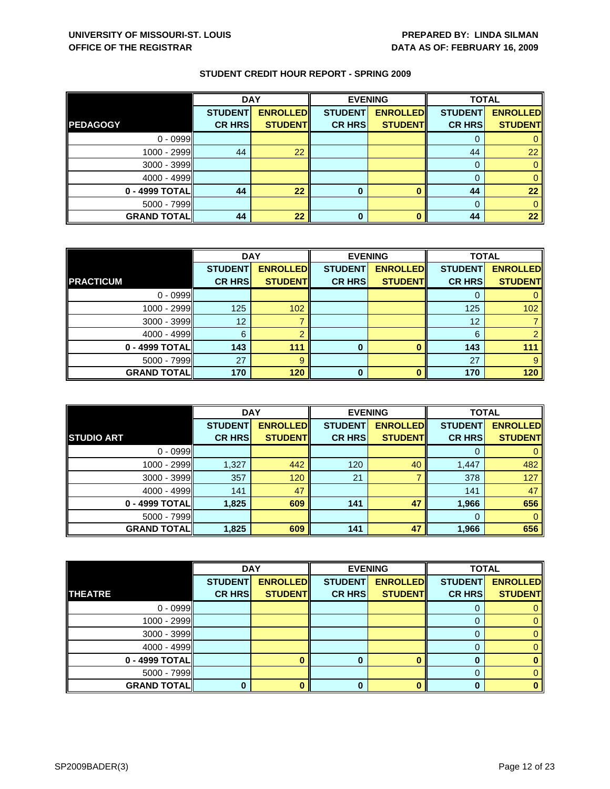|                    | <b>DAY</b>                      |                                   | <b>EVENING</b>                  |                                   | <b>TOTAL</b>                    |                                   |
|--------------------|---------------------------------|-----------------------------------|---------------------------------|-----------------------------------|---------------------------------|-----------------------------------|
| <b>PEDAGOGY</b>    | <b>STUDENT</b><br><b>CR HRS</b> | <b>ENROLLED</b><br><b>STUDENT</b> | <b>STUDENT</b><br><b>CR HRS</b> | <b>ENROLLED</b><br><b>STUDENT</b> | <b>STUDENT</b><br><b>CR HRS</b> | <b>ENROLLED</b><br><b>STUDENT</b> |
|                    |                                 |                                   |                                 |                                   |                                 |                                   |
| $0 - 0999$         |                                 |                                   |                                 |                                   |                                 |                                   |
| 1000 - 2999        | 44                              | 22                                |                                 |                                   | 44                              | 22                                |
| 3000 - 3999        |                                 |                                   |                                 |                                   |                                 |                                   |
| $4000 - 4999$      |                                 |                                   |                                 |                                   |                                 |                                   |
| 0 - 4999 TOTAL     | 44                              | 22                                | 0                               |                                   | 44                              | 22                                |
| $5000 - 7999$      |                                 |                                   |                                 |                                   |                                 |                                   |
| <b>GRAND TOTAL</b> | 44                              | 22                                | 0                               |                                   | 44                              | 22                                |

|                    | <b>DAY</b>     |                 |                | <b>EVENING</b>  | <b>TOTAL</b>   |                 |
|--------------------|----------------|-----------------|----------------|-----------------|----------------|-----------------|
|                    | <b>STUDENT</b> | <b>ENROLLED</b> | <b>STUDENT</b> | <b>ENROLLED</b> | <b>STUDENT</b> | <b>ENROLLED</b> |
| <b>PRACTICUM</b>   | <b>CR HRS</b>  | <b>STUDENT</b>  | <b>CR HRS</b>  | <b>STUDENT</b>  | <b>CR HRS</b>  | <b>STUDENT</b>  |
| $0 - 0999$         |                |                 |                |                 |                | 0               |
| 1000 - 2999        | 125            | 102             |                |                 | 125            | 102             |
| $3000 - 3999$      | 12             |                 |                |                 | 12             |                 |
| $4000 - 4999$      |                |                 |                |                 | 6              | $\overline{2}$  |
| 0 - 4999 TOTAL     | 143            | 111             | 0              |                 | 143            | 111             |
| $5000 - 7999$      | 27             | 9               |                |                 | 27             | 9               |
| <b>GRAND TOTAL</b> | 170            | 120             | $\Omega$       |                 | 170            | 120             |

|                    | <b>DAY</b>                      |                                    |                                 | <b>EVENING</b>                     | <b>TOTAL</b>                    |                                   |
|--------------------|---------------------------------|------------------------------------|---------------------------------|------------------------------------|---------------------------------|-----------------------------------|
| <b>STUDIO ART</b>  | <b>STUDENT</b><br><b>CR HRS</b> | <b>ENROLLED</b><br><b>STUDENTI</b> | <b>STUDENT</b><br><b>CR HRS</b> | <b>ENROLLED</b><br><b>STUDENTI</b> | <b>STUDENT</b><br><b>CR HRS</b> | <b>ENROLLED</b><br><b>STUDENT</b> |
|                    |                                 |                                    |                                 |                                    |                                 |                                   |
| $0 - 0999$         |                                 |                                    |                                 |                                    | $\Omega$                        |                                   |
| 1000 - 2999        | 1,327                           | 442                                | 120                             | 40                                 | 1,447                           | 482                               |
| $3000 - 3999$      | 357                             | 120                                | 21                              |                                    | 378                             | 127                               |
| $4000 - 4999$      | 141                             | 47                                 |                                 |                                    | 141                             | 47                                |
| 0 - 4999 TOTAL     | 1,825                           | 609                                | 141                             | 47                                 | 1,966                           | 656                               |
| $5000 - 7999$      |                                 |                                    |                                 |                                    | $\Omega$                        | 0                                 |
| <b>GRAND TOTAL</b> | 1,825                           | 609                                | 141                             | 47                                 | 1,966                           | 656                               |

|                    | <b>DAY</b>     |                 |                | <b>EVENING</b>  | <b>TOTAL</b>   |                 |
|--------------------|----------------|-----------------|----------------|-----------------|----------------|-----------------|
|                    | <b>STUDENT</b> | <b>ENROLLED</b> | <b>STUDENT</b> | <b>ENROLLED</b> | <b>STUDENT</b> | <b>ENROLLED</b> |
| <b>THEATRE</b>     | <b>CR HRS</b>  | <b>STUDENT</b>  | <b>CR HRS</b>  | <b>STUDENT</b>  | <b>CR HRS</b>  | <b>STUDENT</b>  |
| $0 - 0999$         |                |                 |                |                 |                |                 |
| $1000 - 2999$      |                |                 |                |                 |                | 0               |
| $3000 - 3999$      |                |                 |                |                 | O              | 0.              |
| $4000 - 4999$      |                |                 |                |                 |                |                 |
| $0 - 4999$ TOTAL   |                |                 |                |                 |                |                 |
| $5000 - 7999$      |                |                 |                |                 | 0              |                 |
| <b>GRAND TOTAL</b> |                |                 |                |                 | n              | o               |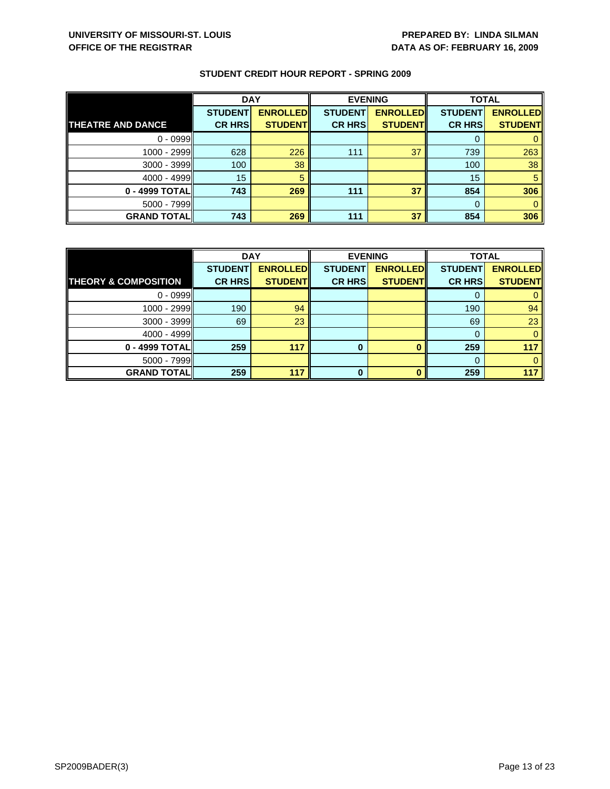|                          | <b>DAY</b>     |                 |                | <b>EVENING</b>  | <b>TOTAL</b>   |                 |
|--------------------------|----------------|-----------------|----------------|-----------------|----------------|-----------------|
|                          | <b>STUDENT</b> | <b>ENROLLED</b> | <b>STUDENT</b> | <b>ENROLLED</b> | <b>STUDENT</b> | <b>ENROLLED</b> |
| <b>THEATRE AND DANCE</b> | <b>CR HRS</b>  | <b>STUDENT</b>  | <b>CR HRS</b>  | <b>STUDENT</b>  | <b>CR HRS</b>  | <b>STUDENT</b>  |
| $0 - 0999$               |                |                 |                |                 | 0              |                 |
| 1000 - 2999              | 628            | 226             | 111            | 37              | 739            | 263             |
| $3000 - 3999$            | 100            | 38              |                |                 | 100            | 38              |
| $4000 - 4999$            | 15             | 5               |                |                 | 15             |                 |
| 0 - 4999 TOTAL           | 743            | 269             | 111            | 37              | 854            | 306             |
| $5000 - 7999$            |                |                 |                |                 | $\Omega$       |                 |
| <b>GRAND TOTAL</b>       | 743            | 269             | 111            | 37              | 854            | 306             |

|                                 | <b>DAY</b>     |                 | <b>EVENING</b> |                 | <b>TOTAL</b>   |                 |
|---------------------------------|----------------|-----------------|----------------|-----------------|----------------|-----------------|
|                                 | <b>STUDENT</b> | <b>ENROLLED</b> | <b>STUDENT</b> | <b>ENROLLED</b> | <b>STUDENT</b> | <b>ENROLLED</b> |
| <b>THEORY &amp; COMPOSITION</b> | <b>CR HRS</b>  | <b>STUDENT</b>  | <b>CR HRS</b>  | <b>STUDENT</b>  | <b>CR HRS</b>  | <b>STUDENT</b>  |
| $0 - 0999$                      |                |                 |                |                 |                |                 |
| 1000 - 2999                     | 190            | 94              |                |                 | 190            | 94              |
| 3000 - 3999                     | 69             | 23              |                |                 | 69             | 23              |
| $4000 - 4999$                   |                |                 |                |                 | 0              |                 |
| 0 - 4999 TOTAL                  | 259            | 117             | O              |                 | 259            | 117             |
| $5000 - 7999$                   |                |                 |                |                 |                |                 |
| <b>GRAND TOTALI</b>             | 259            | 117             | ŋ              |                 | 259            | 117             |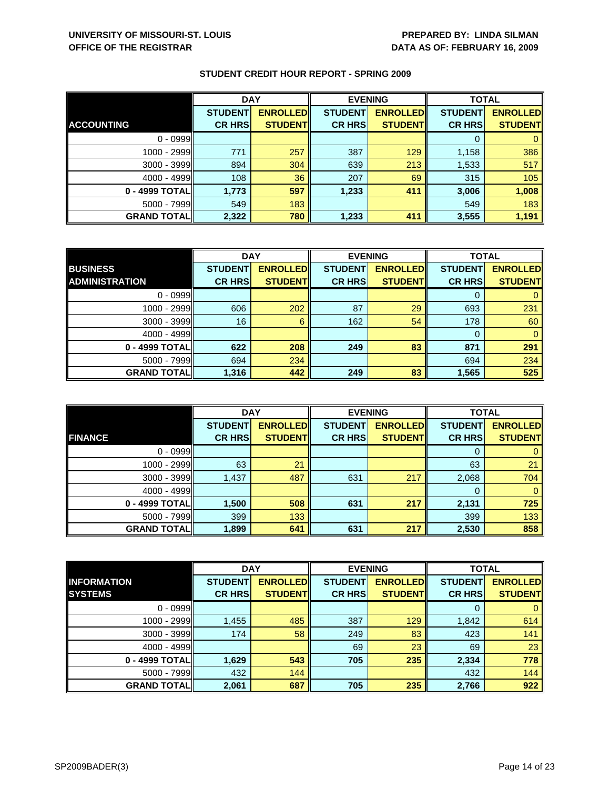|                    | <b>DAY</b>     |                 | <b>EVENING</b> |                 | <b>TOTAL</b>   |                 |
|--------------------|----------------|-----------------|----------------|-----------------|----------------|-----------------|
|                    | <b>STUDENT</b> | <b>ENROLLED</b> | <b>STUDENT</b> | <b>ENROLLED</b> | <b>STUDENT</b> | <b>ENROLLED</b> |
| <b>ACCOUNTING</b>  | <b>CR HRS</b>  | <b>STUDENT</b>  | <b>CR HRS</b>  | <b>STUDENT</b>  | <b>CR HRS</b>  | <b>STUDENT</b>  |
| $0 - 0999$         |                |                 |                |                 |                |                 |
| 1000 - 2999        | 771            | 257             | 387            | 129             | 1,158          | 386             |
| $3000 - 3999$      | 894            | 304             | 639            | 213             | 1,533          | 517             |
| $4000 - 4999$      | 108            | 36              | 207            | 69              | 315            | 105             |
| 0 - 4999 TOTAL     | 1,773          | 597             | 1,233          | 411             | 3,006          | 1,008           |
| $5000 - 7999$      | 549            | 183             |                |                 | 549            | 183             |
| <b>GRAND TOTAL</b> | 2,322          | 780             | 1,233          | 411             | 3,555          | 1,191           |

|                       | <b>DAY</b>     |                 | <b>EVENING</b> |                 | <b>TOTAL</b>   |                 |
|-----------------------|----------------|-----------------|----------------|-----------------|----------------|-----------------|
| <b>BUSINESS</b>       | <b>STUDENT</b> | <b>ENROLLED</b> | <b>STUDENT</b> | <b>ENROLLED</b> | <b>STUDENT</b> | <b>ENROLLED</b> |
| <b>ADMINISTRATION</b> | <b>CR HRS</b>  | <b>STUDENT</b>  | <b>CR HRS</b>  | <b>STUDENT</b>  | <b>CR HRS</b>  | <b>STUDENT</b>  |
| $0 - 0999$            |                |                 |                |                 |                |                 |
| 1000 - 2999           | 606            | 202             | 87             | 29              | 693            | 231             |
| 3000 - 3999           | 16             | 6               | 162            | 54              | 178            | 60              |
| $4000 - 4999$         |                |                 |                |                 |                |                 |
| 0 - 4999 TOTAL        | 622            | 208             | 249            | 83              | 871            | 291             |
| $5000 - 7999$         | 694            | 234             |                |                 | 694            | 234             |
| <b>GRAND TOTAL</b>    | 1,316          | 442             | 249            | 83              | 1,565          | 525             |

|                    | <b>DAY</b>                      |                                   |                                 | <b>EVENING</b>                    | <b>TOTAL</b>                    |                                   |
|--------------------|---------------------------------|-----------------------------------|---------------------------------|-----------------------------------|---------------------------------|-----------------------------------|
| <b>FINANCE</b>     | <b>STUDENT</b><br><b>CR HRS</b> | <b>ENROLLED</b><br><b>STUDENT</b> | <b>STUDENT</b><br><b>CR HRS</b> | <b>ENROLLED</b><br><b>STUDENT</b> | <b>STUDENT</b><br><b>CR HRS</b> | <b>ENROLLED</b><br><b>STUDENT</b> |
|                    |                                 |                                   |                                 |                                   |                                 |                                   |
| $0 - 0999$         |                                 |                                   |                                 |                                   | O                               |                                   |
| 1000 - 2999        | 63                              | 21                                |                                 |                                   | 63                              | 21                                |
| $3000 - 3999$      | 1,437                           | 487                               | 631                             | 217                               | 2,068                           | 704                               |
| $4000 - 4999$      |                                 |                                   |                                 |                                   | 0                               | 0                                 |
| 0 - 4999 TOTAL     | 1,500                           | 508                               | 631                             | 217                               | 2,131                           | 725                               |
| $5000 - 7999$      | 399                             | 133                               |                                 |                                   | 399                             | 133                               |
| <b>GRAND TOTAL</b> | 1,899                           | 641                               | 631                             | 217                               | 2,530                           | 858                               |

|                    | <b>DAY</b>     |                  | <b>EVENING</b> |                 | <b>TOTAL</b>   |                 |
|--------------------|----------------|------------------|----------------|-----------------|----------------|-----------------|
| <b>INFORMATION</b> | <b>STUDENT</b> | <b>ENROLLEDI</b> | <b>STUDENT</b> | <b>ENROLLED</b> | <b>STUDENT</b> | <b>ENROLLED</b> |
| <b>SYSTEMS</b>     | <b>CR HRS</b>  | <b>STUDENT</b>   | <b>CR HRS</b>  | <b>STUDENT</b>  | <b>CR HRS</b>  | <b>STUDENT</b>  |
| $0 - 0999$         |                |                  |                |                 | O              | $\mathbf{0}$    |
| 1000 - 2999        | 1,455          | 485              | 387            | 129             | 1,842          | 614             |
| $3000 - 3999$      | 174            | 58               | 249            | 83              | 423            | 141             |
| $4000 - 4999$      |                |                  | 69             | 23              | 69             | 23              |
| 0 - 4999 TOTAL     | 1,629          | 543              | 705            | 235             | 2,334          | 778             |
| $5000 - 7999$      | 432            | 144              |                |                 | 432            | 144             |
| <b>GRAND TOTAL</b> | 2,061          | 687              | 705            | 235             | 2,766          | 922             |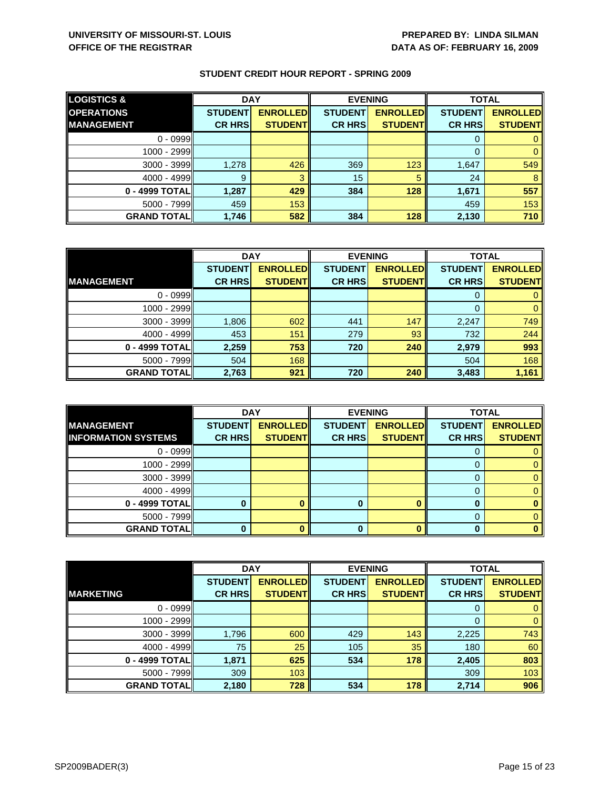| <b>LOGISTICS &amp;</b> | <b>DAY</b>     |                 |                | <b>EVENING</b>  | <b>TOTAL</b>   |                 |
|------------------------|----------------|-----------------|----------------|-----------------|----------------|-----------------|
| <b>OPERATIONS</b>      | <b>STUDENT</b> | <b>ENROLLED</b> | <b>STUDENT</b> | <b>ENROLLED</b> | <b>STUDENT</b> | <b>ENROLLED</b> |
| <b>IMANAGEMENT</b>     | <b>CR HRS</b>  | <b>STUDENT</b>  | <b>CR HRS</b>  | <b>STUDENT</b>  | <b>CR HRS</b>  | <b>STUDENT</b>  |
| $0 - 0999$             |                |                 |                |                 |                |                 |
| $1000 - 2999$          |                |                 |                |                 |                |                 |
| $3000 - 3999$          | 1,278          | 426             | 369            | 123             | 1,647          | 549             |
| $4000 - 4999$          | 9              | з               | 15             | 5               | 24             |                 |
| 0 - 4999 TOTAL         | 1,287          | 429             | 384            | 128             | 1,671          | 557             |
| $5000 - 7999$          | 459            | 153             |                |                 | 459            | 153             |
| <b>GRAND TOTAL</b>     | 1,746          | 582             | 384            | 128             | 2,130          | 710             |

|                    | <b>DAY</b>     |                 | <b>EVENING</b> |                 | <b>TOTAL</b>   |                 |
|--------------------|----------------|-----------------|----------------|-----------------|----------------|-----------------|
|                    | <b>STUDENT</b> | <b>ENROLLED</b> | <b>STUDENT</b> | <b>ENROLLED</b> | <b>STUDENT</b> | <b>ENROLLED</b> |
| <b>MANAGEMENT</b>  | <b>CR HRS</b>  | <b>STUDENT</b>  | <b>CR HRS</b>  | <b>STUDENT</b>  | <b>CR HRS</b>  | <b>STUDENT</b>  |
| $0 - 0999$         |                |                 |                |                 |                |                 |
| 1000 - 2999        |                |                 |                |                 |                |                 |
| $3000 - 3999$      | 1,806          | 602             | 441            | 147             | 2,247          | 749             |
| $4000 - 4999$      | 453            | 151             | 279            | 93              | 732            | 244             |
| 0 - 4999 TOTAL     | 2,259          | 753             | 720            | 240             | 2,979          | 993             |
| $5000 - 7999$      | 504            | 168             |                |                 | 504            | 168             |
| <b>GRAND TOTAL</b> | 2,763          | 921             | 720            | 240             | 3,483          | 1,161           |

|                                                 | <b>DAY</b>     |                                   | <b>EVENING</b> |                 | <b>TOTAL</b>   |                                   |
|-------------------------------------------------|----------------|-----------------------------------|----------------|-----------------|----------------|-----------------------------------|
| <b>MANAGEMENT</b><br><b>INFORMATION SYSTEMS</b> | <b>STUDENT</b> | <b>ENROLLED</b><br><b>STUDENT</b> | <b>STUDENT</b> | <b>ENROLLED</b> | <b>STUDENT</b> | <b>ENROLLED</b><br><b>STUDENT</b> |
|                                                 | <b>CR HRS</b>  |                                   | <b>CR HRS</b>  | <b>STUDENT</b>  | <b>CR HRS</b>  |                                   |
| $0 - 0999$                                      |                |                                   |                |                 |                |                                   |
| 1000 - 2999                                     |                |                                   |                |                 |                |                                   |
| $3000 - 3999$                                   |                |                                   |                |                 |                |                                   |
| $4000 - 4999$                                   |                |                                   |                |                 |                |                                   |
| 0 - 4999 TOTAL                                  |                |                                   |                |                 |                |                                   |
| 5000 - 7999                                     |                |                                   |                |                 |                |                                   |
| <b>GRAND TOTALI</b>                             |                |                                   | O              |                 |                |                                   |

|                    | <b>DAY</b>     |                 | <b>EVENING</b> |                 | <b>TOTAL</b>   |                 |
|--------------------|----------------|-----------------|----------------|-----------------|----------------|-----------------|
|                    | <b>STUDENT</b> | <b>ENROLLED</b> | <b>STUDENT</b> | <b>ENROLLED</b> | <b>STUDENT</b> | <b>ENROLLED</b> |
| <b>MARKETING</b>   | <b>CR HRS</b>  | <b>STUDENT</b>  | <b>CR HRS</b>  | <b>STUDENT</b>  | <b>CR HRS</b>  | <b>STUDENT</b>  |
| $0 - 0999$         |                |                 |                |                 | 0              | $\mathbf{0}$    |
| 1000 - 2999        |                |                 |                |                 | 0              | $\mathbf{0}$    |
| 3000 - 3999        | 1,796          | 600             | 429            | 143             | 2,225          | 743             |
| $4000 - 4999$      | 75             | 25              | 105            | 35              | 180            | 60              |
| 0 - 4999 TOTAL     | 1,871          | 625             | 534            | 178             | 2,405          | 803             |
| $5000 - 7999$      | 309            | 103             |                |                 | 309            | 103             |
| <b>GRAND TOTAL</b> | 2,180          | 728             | 534            | 178             | 2,714          | 906             |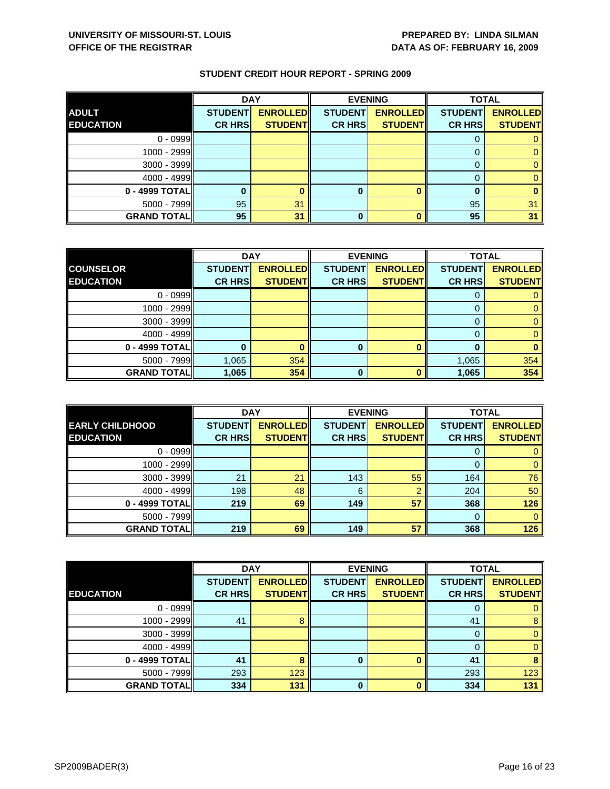|                    | <b>DAY</b>     |                 |                | <b>EVENING</b>  | <b>TOTAL</b>   |                 |
|--------------------|----------------|-----------------|----------------|-----------------|----------------|-----------------|
| <b>ADULT</b>       | <b>STUDENT</b> | <b>ENROLLED</b> | <b>STUDENT</b> | <b>ENROLLED</b> | <b>STUDENT</b> | <b>ENROLLED</b> |
| <b>EDUCATION</b>   | <b>CR HRS</b>  | <b>STUDENT</b>  | <b>CR HRS</b>  | <b>STUDENT</b>  | <b>CR HRS</b>  | <b>STUDENT</b>  |
| $0 - 0999$         |                |                 |                |                 |                |                 |
| $1000 - 2999$      |                |                 |                |                 |                |                 |
| $3000 - 3999$      |                |                 |                |                 |                |                 |
| $4000 - 4999$      |                |                 |                |                 |                |                 |
| 0 - 4999 TOTAL     |                |                 | O              |                 |                |                 |
| $5000 - 7999$      | 95             | 31              |                |                 | 95             | 31              |
| <b>GRAND TOTAL</b> | 95             | 31              | 0              |                 | 95             | 31              |

|                    | <b>DAY</b>     |                 |                | <b>EVENING</b>  | <b>TOTAL</b>   |                 |
|--------------------|----------------|-----------------|----------------|-----------------|----------------|-----------------|
| <b>COUNSELOR</b>   | <b>STUDENT</b> | <b>ENROLLED</b> | <b>STUDENT</b> | <b>ENROLLED</b> | <b>STUDENT</b> | <b>ENROLLED</b> |
| <b>EDUCATION</b>   | <b>CR HRS</b>  | <b>STUDENT</b>  | <b>CR HRS</b>  | <b>STUDENT</b>  | <b>CR HRS</b>  | <b>STUDENT</b>  |
| $0 - 0999$         |                |                 |                |                 |                |                 |
| 1000 - 2999        |                |                 |                |                 |                |                 |
| 3000 - 3999        |                |                 |                |                 |                |                 |
| $4000 - 4999$      |                |                 |                |                 |                |                 |
| 0 - 4999 TOTAL     |                |                 | 0              |                 | O              |                 |
| $5000 - 7999$      | 1,065          | 354             |                |                 | 1,065          | 354             |
| <b>GRAND TOTAL</b> | 1,065          | 354             | ŋ              |                 | 1,065          | 354             |

|                        | <b>DAY</b>     |                 |                | <b>EVENING</b>  | <b>TOTAL</b>   |                 |
|------------------------|----------------|-----------------|----------------|-----------------|----------------|-----------------|
| <b>EARLY CHILDHOOD</b> | <b>STUDENT</b> | <b>ENROLLED</b> | <b>STUDENT</b> | <b>ENROLLED</b> | <b>STUDENT</b> | <b>ENROLLED</b> |
| <b>EDUCATION</b>       | <b>CR HRS</b>  | <b>STUDENT</b>  | <b>CR HRS</b>  | <b>STUDENT</b>  | <b>CR HRS</b>  | <b>STUDENT</b>  |
| $0 - 0999$             |                |                 |                |                 |                |                 |
| 1000 - 2999            |                |                 |                |                 |                | 0               |
| $3000 - 3999$          | 21             | 21              | 143            | 55              | 164            | 76              |
| $4000 - 4999$          | 198            | 48              | 6              | റ               | 204            | 50              |
| 0 - 4999 TOTAL         | 219            | 69              | 149            | 57              | 368            | 126             |
| $5000 - 7999$          |                |                 |                |                 | $\Omega$       | 0               |
| <b>GRAND TOTAL</b>     | 219            | 69              | 149            | 57              | 368            | 126             |

|                    | <b>DAY</b>     |                 | <b>EVENING</b> |                 | <b>TOTAL</b>   |                 |
|--------------------|----------------|-----------------|----------------|-----------------|----------------|-----------------|
|                    | <b>STUDENT</b> | <b>ENROLLED</b> | <b>STUDENT</b> | <b>ENROLLED</b> | <b>STUDENT</b> | <b>ENROLLED</b> |
| <b>EDUCATION</b>   | <b>CR HRS</b>  | <b>STUDENT</b>  | <b>CR HRS</b>  | <b>STUDENT</b>  | <b>CR HRS</b>  | <b>STUDENT</b>  |
| $0 - 0999$         |                |                 |                |                 | U              | 0               |
| 1000 - 2999        | 41             |                 |                |                 | 41             | 8               |
| $3000 - 3999$      |                |                 |                |                 | 0              | $\mathbf{0}$    |
| $4000 - 4999$      |                |                 |                |                 | 0              | $\mathbf{0}$    |
| 0 - 4999 TOTAL     | 41             |                 | 0              |                 | 41             | 8               |
| 5000 - 7999        | 293            | 123             |                |                 | 293            | 123             |
| <b>GRAND TOTAL</b> | 334            | 131             | $\bf{0}$       |                 | 334            | 131             |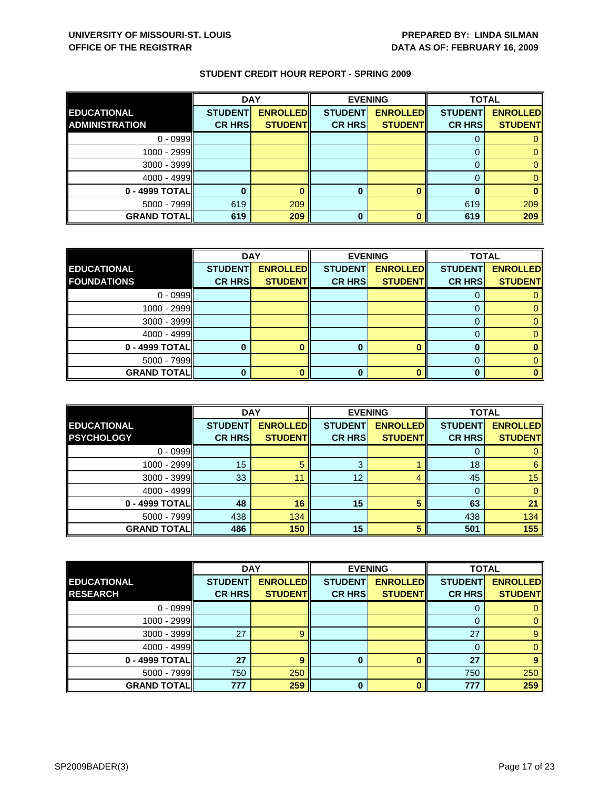|                       | <b>DAY</b>     |                 |                | <b>EVENING</b>  | <b>TOTAL</b>   |                 |
|-----------------------|----------------|-----------------|----------------|-----------------|----------------|-----------------|
| <b>EDUCATIONAL</b>    | <b>STUDENT</b> | <b>ENROLLED</b> | <b>STUDENT</b> | <b>ENROLLED</b> | <b>STUDENT</b> | <b>ENROLLED</b> |
| <b>ADMINISTRATION</b> | <b>CR HRS</b>  | <b>STUDENT</b>  | <b>CR HRS</b>  | <b>STUDENT</b>  | <b>CR HRS</b>  | <b>STUDENT</b>  |
| $0 - 0999$            |                |                 |                |                 |                |                 |
| 1000 - 2999           |                |                 |                |                 |                |                 |
| $3000 - 3999$         |                |                 |                |                 |                |                 |
| $4000 - 4999$         |                |                 |                |                 |                |                 |
| 0 - 4999 TOTALI       |                |                 | 0              |                 |                |                 |
| $5000 - 7999$         | 619            | 209             |                |                 | 619            | 209             |
| <b>GRAND TOTAL</b>    | 619            | 209             | 0              |                 | 619            | 209             |

|                    | <b>DAY</b>     |                 |                | <b>EVENING</b>  | <b>TOTAL</b>   |                 |
|--------------------|----------------|-----------------|----------------|-----------------|----------------|-----------------|
| <b>EDUCATIONAL</b> | <b>STUDENT</b> | <b>ENROLLED</b> | <b>STUDENT</b> | <b>ENROLLED</b> | <b>STUDENT</b> | <b>ENROLLED</b> |
| <b>FOUNDATIONS</b> | <b>CR HRS</b>  | <b>STUDENT</b>  | <b>CR HRS</b>  | <b>STUDENT</b>  | <b>CR HRS</b>  | <b>STUDENT</b>  |
| $0 - 0999$         |                |                 |                |                 |                |                 |
| 1000 - 2999        |                |                 |                |                 |                |                 |
| $3000 - 3999$      |                |                 |                |                 |                |                 |
| $4000 - 4999$      |                |                 |                |                 |                |                 |
| $0 - 4999$ TOTAL   |                |                 |                |                 |                |                 |
| $5000 - 7999$      |                |                 |                |                 |                |                 |
| <b>GRAND TOTAL</b> |                |                 |                |                 |                |                 |

|                    | <b>DAY</b>     |                 | <b>EVENING</b> |                 | <b>TOTAL</b>   |                 |
|--------------------|----------------|-----------------|----------------|-----------------|----------------|-----------------|
| <b>EDUCATIONAL</b> | <b>STUDENT</b> | <b>ENROLLED</b> | <b>STUDENT</b> | <b>ENROLLED</b> | <b>STUDENT</b> | <b>ENROLLED</b> |
| <b>PSYCHOLOGY</b>  | <b>CR HRS</b>  | <b>STUDENT</b>  | <b>CR HRS</b>  | <b>STUDENT</b>  | <b>CR HRS</b>  | <b>STUDENT</b>  |
| $0 - 0999$         |                |                 |                |                 |                |                 |
| $1000 - 2999$      | 15             | 5               | 3              |                 | 18             | 6               |
| $3000 - 3999$      | 33             | 11              | 12             | Δ               | 45             | 15              |
| $4000 - 4999$      |                |                 |                |                 |                |                 |
| 0 - 4999 TOTALI    | 48             | 16              | 15             | 5               | 63             | 21              |
| $5000 - 7999$      | 438            | 134             |                |                 | 438            | 134             |
| <b>GRAND TOTAL</b> | 486            | 150             | 15             | 5               | 501            | 155             |

|                    | <b>DAY</b>     |                 | <b>EVENING</b> |                 | <b>TOTAL</b>   |                 |
|--------------------|----------------|-----------------|----------------|-----------------|----------------|-----------------|
| <b>EDUCATIONAL</b> | <b>STUDENT</b> | <b>ENROLLED</b> | <b>STUDENT</b> | <b>ENROLLED</b> | <b>STUDENT</b> | <b>ENROLLED</b> |
| <b>RESEARCH</b>    | <b>CR HRS</b>  | <b>STUDENT</b>  | <b>CR HRS</b>  | <b>STUDENT</b>  | <b>CR HRS</b>  | <b>STUDENT</b>  |
| $0 - 0999$         |                |                 |                |                 | O              | 0               |
| 1000 - 2999        |                |                 |                |                 | 0              | $\mathbf{0}$    |
| 3000 - 3999        | 27             |                 |                |                 | 27             | $\overline{9}$  |
| $4000 - 4999$      |                |                 |                |                 | 0              | $\mathbf{0}$    |
| 0 - 4999 TOTAL     | 27             | 9               | 0              |                 | 27             | 9               |
| $5000 - 7999$      | 750            | 250             |                |                 | 750            | 250             |
| <b>GRAND TOTAL</b> | 777            | 259             | $\bf{0}$       | $\mathbf{0}$    | 777            | 259             |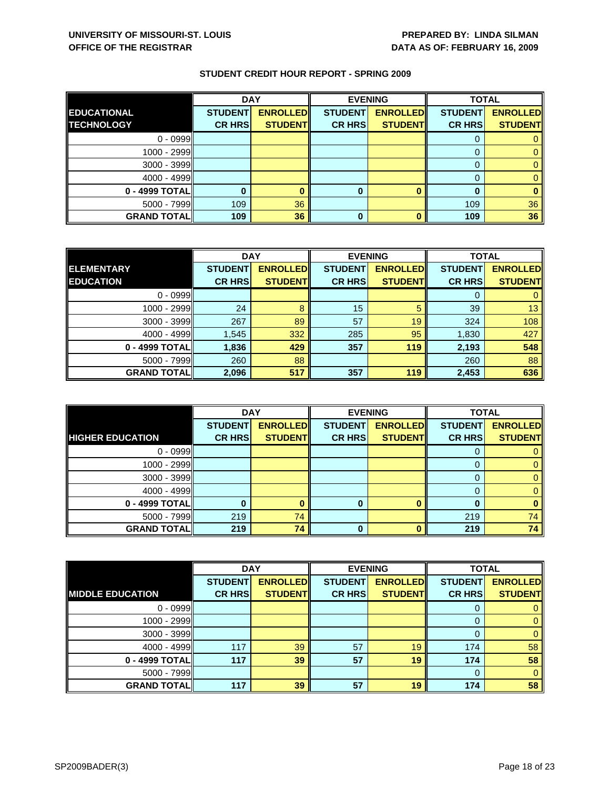|                     | <b>DAY</b>     |                 | <b>EVENING</b> |                 | <b>TOTAL</b>   |                 |
|---------------------|----------------|-----------------|----------------|-----------------|----------------|-----------------|
| <b>EDUCATIONAL</b>  | <b>STUDENT</b> | <b>ENROLLED</b> | <b>STUDENT</b> | <b>ENROLLED</b> | <b>STUDENT</b> | <b>ENROLLED</b> |
| <b>TECHNOLOGY</b>   | <b>CR HRS</b>  | <b>STUDENT</b>  | <b>CR HRS</b>  | <b>STUDENT</b>  | <b>CR HRS</b>  | <b>STUDENT</b>  |
| $0 - 0999$          |                |                 |                |                 |                |                 |
| $1000 - 2999$       |                |                 |                |                 |                |                 |
| 3000 - 3999         |                |                 |                |                 |                |                 |
| $4000 - 4999$       |                |                 |                |                 |                |                 |
| 0 - 4999 TOTAL      |                |                 | 0              |                 |                |                 |
| $5000 - 7999$       | 109            | 36              |                |                 | 109            | 36              |
| <b>GRAND TOTALI</b> | 109            | 36              | 0              |                 | 109            | 36              |

|                    | <b>DAY</b>     |                 | <b>EVENING</b> |                 | <b>TOTAL</b>   |                 |
|--------------------|----------------|-----------------|----------------|-----------------|----------------|-----------------|
| <b>ELEMENTARY</b>  | <b>STUDENT</b> | <b>ENROLLED</b> | <b>STUDENT</b> | <b>ENROLLED</b> | <b>STUDENT</b> | <b>ENROLLED</b> |
| <b>EDUCATION</b>   | <b>CR HRS</b>  | <b>STUDENT</b>  | <b>CR HRS</b>  | <b>STUDENT</b>  | <b>CR HRS</b>  | <b>STUDENT</b>  |
| $0 - 0999$         |                |                 |                |                 |                |                 |
| 1000 - 2999        | 24             |                 | 15             |                 | 39             | 13              |
| $3000 - 3999$      | 267            | 89              | 57             | 19              | 324            | 108             |
| $4000 - 4999$      | 1,545          | 332             | 285            | 95              | 1,830          | 427             |
| 0 - 4999 TOTAL     | 1,836          | 429             | 357            | 119             | 2,193          | 548             |
| $5000 - 7999$      | 260            | 88              |                |                 | 260            | 88              |
| <b>GRAND TOTAL</b> | 2,096          | 517             | 357            | 119             | 2,453          | 636             |

|                         | <b>DAY</b>     |                 |                | <b>EVENING</b>  | <b>TOTAL</b>   |                 |
|-------------------------|----------------|-----------------|----------------|-----------------|----------------|-----------------|
|                         | <b>STUDENT</b> | <b>ENROLLED</b> | <b>STUDENT</b> | <b>ENROLLED</b> | <b>STUDENT</b> | <b>ENROLLED</b> |
| <b>HIGHER EDUCATION</b> | <b>CR HRS</b>  | <b>STUDENT</b>  | <b>CR HRS</b>  | <b>STUDENT</b>  | <b>CR HRS</b>  | <b>STUDENT</b>  |
| $0 - 0999$              |                |                 |                |                 |                |                 |
| 1000 - 2999             |                |                 |                |                 |                |                 |
| $3000 - 3999$           |                |                 |                |                 |                |                 |
| $4000 - 4999$           |                |                 |                |                 |                |                 |
| 0 - 4999 TOTAL          |                |                 | 0              | ∩               | n              |                 |
| $5000 - 7999$           | 219            | 74              |                |                 | 219            | 74              |
| <b>GRAND TOTAL</b>      | 219            | 74              | 0              |                 | 219            | 74              |

|                         | <b>DAY</b>     |                 | <b>EVENING</b> |                 | <b>TOTAL</b>   |                 |
|-------------------------|----------------|-----------------|----------------|-----------------|----------------|-----------------|
|                         | <b>STUDENT</b> | <b>ENROLLED</b> | <b>STUDENT</b> | <b>ENROLLED</b> | <b>STUDENT</b> | <b>ENROLLED</b> |
| <b>MIDDLE EDUCATION</b> | <b>CR HRS</b>  | <b>STUDENT</b>  | <b>CR HRS</b>  | <b>STUDENT</b>  | <b>CR HRS</b>  | <b>STUDENT</b>  |
| $0 - 0999$              |                |                 |                |                 | 0              | 0               |
| 1000 - 2999             |                |                 |                |                 | 0              | $\mathbf{0}$    |
| $3000 - 3999$           |                |                 |                |                 | $\Omega$       | $\mathbf{0}$    |
| $4000 - 4999$           | 117            | 39              | 57             | 19              | 174            | 58              |
| 0 - 4999 TOTAL          | 117            | 39              | 57             | 19              | 174            | 58              |
| $5000 - 7999$           |                |                 |                |                 | $\Omega$       | $\mathbf{0}$    |
| <b>GRAND TOTAL</b>      | 117            | 39              | 57             | 19              | 174            | 58              |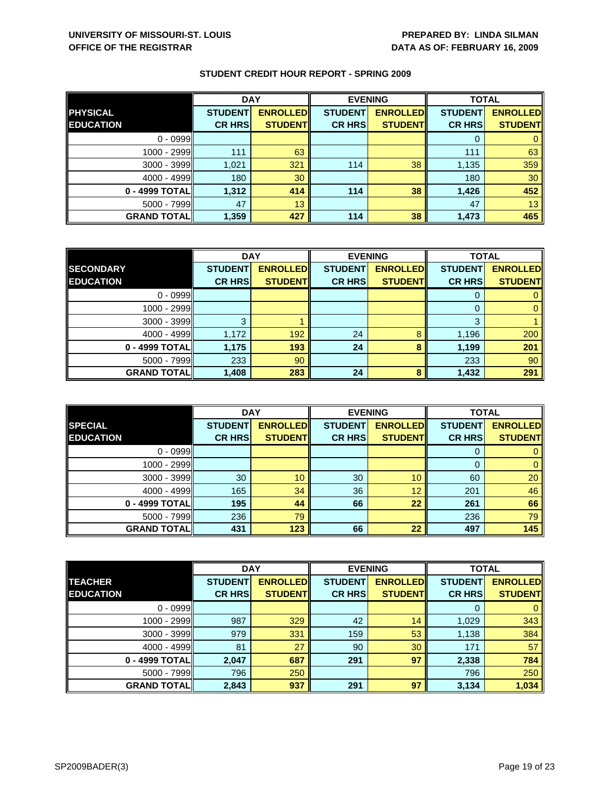|                    | <b>DAY</b>     |                  | <b>EVENING</b> |                 | <b>TOTAL</b>   |                 |
|--------------------|----------------|------------------|----------------|-----------------|----------------|-----------------|
| <b>PHYSICAL</b>    | <b>STUDENT</b> | <b>ENROLLEDI</b> | <b>STUDENT</b> | <b>ENROLLED</b> | <b>STUDENT</b> | <b>ENROLLED</b> |
| <b>EDUCATION</b>   | <b>CR HRS</b>  | <b>STUDENT</b>   | <b>CR HRS</b>  | <b>STUDENT</b>  | <b>CR HRS</b>  | <b>STUDENT</b>  |
| $0 - 0999$         |                |                  |                |                 |                |                 |
| 1000 - 2999        | 111            | 63               |                |                 | 111            | 63              |
| 3000 - 3999        | 1,021          | 321              | 114            | 38              | 1,135          | 359             |
| $4000 - 4999$      | 180            | 30               |                |                 | 180            | 30              |
| 0 - 4999 TOTAL     | 1,312          | 414              | 114            | 38              | 1,426          | 452             |
| $5000 - 7999$      | 47             | 13               |                |                 | 47             | 13              |
| <b>GRAND TOTAL</b> | 1,359          | 427              | 114            | 38              | 1,473          | 465             |

|                    | <b>DAY</b>     |                 | <b>EVENING</b> |                 | <b>TOTAL</b>   |                 |
|--------------------|----------------|-----------------|----------------|-----------------|----------------|-----------------|
| <b>SECONDARY</b>   | <b>STUDENT</b> | <b>ENROLLED</b> | <b>STUDENT</b> | <b>ENROLLED</b> | <b>STUDENT</b> | <b>ENROLLED</b> |
| <b>EDUCATION</b>   | <b>CR HRS</b>  | <b>STUDENT</b>  | <b>CR HRS</b>  | <b>STUDENT</b>  | <b>CR HRS</b>  | <b>STUDENT</b>  |
| $0 - 0999$         |                |                 |                |                 |                |                 |
| 1000 - 2999        |                |                 |                |                 |                |                 |
| $3000 - 3999$      | ົ              |                 |                |                 | 3              |                 |
| $4000 - 4999$      | 1,172          | 192             | 24             | 8               | 1,196          | 200             |
| 0 - 4999 TOTAL     | 1,175          | 193             | 24             | 8               | 1,199          | 201             |
| $5000 - 7999$      | 233            | 90              |                |                 | 233            | 90              |
| <b>GRAND TOTAL</b> | 1,408          | 283             | 24             | 8               | 1,432          | 291             |

|                    | <b>DAY</b>     |                 |                | <b>EVENING</b>  | <b>TOTAL</b>   |                 |
|--------------------|----------------|-----------------|----------------|-----------------|----------------|-----------------|
| <b>SPECIAL</b>     | <b>STUDENT</b> | <b>ENROLLED</b> | <b>STUDENT</b> | <b>ENROLLED</b> | <b>STUDENT</b> | <b>ENROLLED</b> |
| <b>EDUCATION</b>   | <b>CR HRS</b>  | <b>STUDENT</b>  | <b>CR HRS</b>  | <b>STUDENT</b>  | <b>CR HRS</b>  | <b>STUDENT</b>  |
| $0 - 0999$         |                |                 |                |                 | U              | 0               |
| $1000 - 2999$      |                |                 |                |                 | 0              | $\mathbf{0}$    |
| $3000 - 3999$      | 30             | 10              | 30             | 10              | 60             | 20              |
| $4000 - 4999$      | 165            | 34              | 36             | 12              | 201            | 46              |
| 0 - 4999 TOTALI    | 195            | 44              | 66             | 22              | 261            | 66              |
| $5000 - 7999$      | 236            | 79              |                |                 | 236            | 79              |
| <b>GRAND TOTAL</b> | 431            | 123             | 66             | 22              | 497            | 145             |

|                    | <b>DAY</b>     |                 | <b>EVENING</b> |                 | <b>TOTAL</b>   |                 |
|--------------------|----------------|-----------------|----------------|-----------------|----------------|-----------------|
| <b>TEACHER</b>     | <b>STUDENT</b> | <b>ENROLLED</b> | <b>STUDENT</b> | <b>ENROLLED</b> | <b>STUDENT</b> | <b>ENROLLED</b> |
| <b>EDUCATION</b>   | <b>CR HRS</b>  | <b>STUDENT</b>  | <b>CR HRS</b>  | <b>STUDENT</b>  | <b>CR HRS</b>  | <b>STUDENT</b>  |
| $0 - 0999$         |                |                 |                |                 | 0              | $\mathbf{0}$    |
| 1000 - 2999        | 987            | 329             | 42             | 14              | 1,029          | 343             |
| 3000 - 3999        | 979            | 331             | 159            | 53              | 1,138          | 384             |
| $4000 - 4999$      | 81             | 27              | 90             | 30              | 171            | 57              |
| 0 - 4999 TOTAL     | 2,047          | 687             | 291            | 97              | 2,338          | 784             |
| $5000 - 7999$      | 796            | 250             |                |                 | 796            | 250             |
| <b>GRAND TOTAL</b> | 2,843          | 937             | 291            | 97              | 3,134          | 1,034           |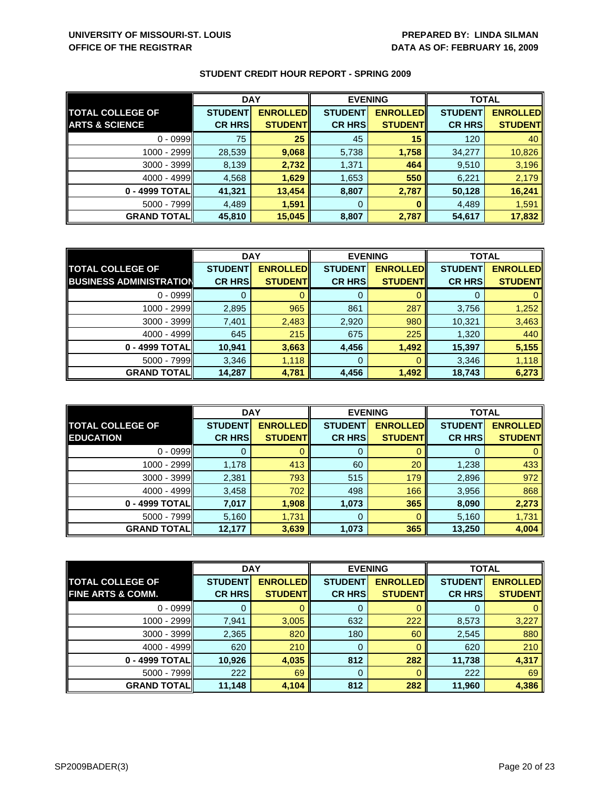|                           | <b>DAY</b>     |                 | <b>EVENING</b> |                 | <b>TOTAL</b>   |                 |
|---------------------------|----------------|-----------------|----------------|-----------------|----------------|-----------------|
| <b>TOTAL COLLEGE OF</b>   | <b>STUDENT</b> | <b>ENROLLED</b> | <b>STUDENT</b> | <b>ENROLLED</b> | <b>STUDENT</b> | <b>ENROLLED</b> |
| <b>ARTS &amp; SCIENCE</b> | <b>CR HRS</b>  | <b>STUDENT</b>  | <b>CR HRS</b>  | <b>STUDENT</b>  | <b>CR HRS</b>  | <b>STUDENT</b>  |
| $0 - 0999$                | 75             | 25              | 45             | 15              | 120            | 40              |
| 1000 - 2999               | 28,539         | 9,068           | 5,738          | 1,758           | 34,277         | 10,826          |
| $3000 - 3999$             | 8,139          | 2,732           | 1,371          | 464             | 9,510          | 3,196           |
| $4000 - 4999$             | 4,568          | 1,629           | 1,653          | 550             | 6,221          | 2,179           |
| 0 - 4999 TOTALI           | 41,321         | 13,454          | 8,807          | 2,787           | 50,128         | 16,241          |
| $5000 - 7999$             | 4,489          | 1,591           | 0              | o               | 4,489          | 1,591           |
| <b>GRAND TOTAL</b>        | 45,810         | 15,045          | 8,807          | 2,787           | 54,617         | 17,832          |

|                                | <b>DAY</b>     |                 | <b>EVENING</b> |                  | <b>TOTAL</b>   |                 |
|--------------------------------|----------------|-----------------|----------------|------------------|----------------|-----------------|
| <b>TOTAL COLLEGE OF</b>        | <b>STUDENT</b> | <b>ENROLLED</b> | <b>STUDENT</b> | <b>ENROLLEDI</b> | <b>STUDENT</b> | <b>ENROLLED</b> |
| <b>BUSINESS ADMINISTRATION</b> | <b>CR HRS</b>  | <b>STUDENT</b>  | <b>CR HRS</b>  | <b>STUDENT</b>   | <b>CR HRS</b>  | <b>STUDENT</b>  |
| $0 - 0999$                     |                |                 |                |                  |                |                 |
| 1000 - 2999                    | 2,895          | 965             | 861            | 287              | 3,756          | 1,252           |
| 3000 - 3999                    | 7,401          | 2,483           | 2,920          | 980              | 10,321         | 3,463           |
| $4000 - 4999$                  | 645            | 215             | 675            | 225              | 1,320          | 440             |
| 0 - 4999 TOTAL                 | 10,941         | 3,663           | 4,456          | 1,492            | 15,397         | 5,155           |
| $5000 - 7999$                  | 3,346          | 1,118           | 0              |                  | 3,346          | 1,118           |
| <b>GRAND TOTAL</b>             | 14,287         | 4,781           | 4,456          | 1,492            | 18,743         | 6,273           |

|                                             | <b>DAY</b>                      |                                   |                                 | <b>EVENING</b>                    | <b>TOTAL</b>                    |                                   |
|---------------------------------------------|---------------------------------|-----------------------------------|---------------------------------|-----------------------------------|---------------------------------|-----------------------------------|
| <b>TOTAL COLLEGE OF</b><br><b>EDUCATION</b> | <b>STUDENT</b><br><b>CR HRS</b> | <b>ENROLLED</b><br><b>STUDENT</b> | <b>STUDENT</b><br><b>CR HRS</b> | <b>ENROLLED</b><br><b>STUDENT</b> | <b>STUDENT</b><br><b>CR HRS</b> | <b>ENROLLED</b><br><b>STUDENT</b> |
| $0 - 0999$                                  |                                 |                                   | 0                               |                                   | O                               |                                   |
| 1000 - 2999                                 | 1,178                           | 413                               | 60                              | 20                                | 1,238                           | 433                               |
| $3000 - 3999$                               | 2,381                           | 793                               | 515                             | 179                               | 2,896                           | 972                               |
| $4000 - 4999$                               | 3,458                           | 702                               | 498                             | 166                               | 3,956                           | 868                               |
| 0 - 4999 TOTAL                              | 7,017                           | 1,908                             | 1,073                           | 365                               | 8,090                           | 2,273                             |
| $5000 - 7999$                               | 5,160                           | 1,731                             | 0                               | 0                                 | 5,160                           | 1,731                             |
| <b>GRAND TOTALI</b>                         | 12,177                          | 3,639                             | 1,073                           | 365                               | 13,250                          | 4,004                             |

|                              | <b>DAY</b>     |                 | <b>EVENING</b> |                 | <b>TOTAL</b>   |                 |
|------------------------------|----------------|-----------------|----------------|-----------------|----------------|-----------------|
| <b>TOTAL COLLEGE OF</b>      | <b>STUDENT</b> | <b>ENROLLED</b> | <b>STUDENT</b> | <b>ENROLLED</b> | <b>STUDENT</b> | <b>ENROLLED</b> |
| <b>FINE ARTS &amp; COMM.</b> | <b>CR HRS</b>  | <b>STUDENT</b>  | <b>CR HRS</b>  | <b>STUDENT</b>  | <b>CR HRS</b>  | <b>STUDENT</b>  |
| $0 - 0999$                   |                |                 | 0              |                 | O              | $\mathbf{0}$    |
| 1000 - 2999                  | 7,941          | 3,005           | 632            | 222             | 8,573          | 3,227           |
| $3000 - 3999$                | 2,365          | 820             | 180            | 60              | 2,545          | 880             |
| $4000 - 4999$                | 620            | 210             | 0              |                 | 620            | 210             |
| 0 - 4999 TOTAL               | 10,926         | 4,035           | 812            | 282             | 11,738         | 4,317           |
| $5000 - 7999$                | 222            | 69              | $\mathbf 0$    |                 | 222            | 69              |
| <b>GRAND TOTALI</b>          | 11,148         | 4,104           | 812            | 282             | 11,960         | 4,386           |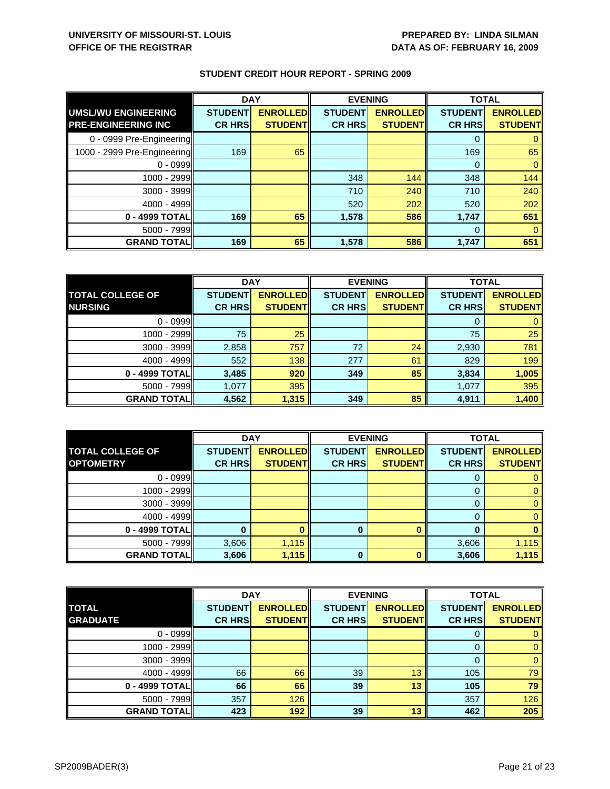|                             | <b>DAY</b>     |                 | <b>EVENING</b> |                 | <b>TOTAL</b>   |                 |
|-----------------------------|----------------|-----------------|----------------|-----------------|----------------|-----------------|
| UMSL/WU ENGINEERING         | <b>STUDENT</b> | <b>ENROLLED</b> | <b>STUDENT</b> | <b>ENROLLED</b> | <b>STUDENT</b> | <b>ENROLLED</b> |
| <b>PRE-ENGINEERING INC</b>  | <b>CR HRS</b>  | <b>STUDENTI</b> | <b>CR HRS</b>  | <b>STUDENT</b>  | <b>CR HRS</b>  | <b>STUDENT</b>  |
| 0 - 0999 Pre-Engineering    |                |                 |                |                 | 0              |                 |
| 1000 - 2999 Pre-Engineering | 169            | 65              |                |                 | 169            | 65              |
| $0 - 0999$                  |                |                 |                |                 | $\Omega$       |                 |
| 1000 - 2999                 |                |                 | 348            | 144             | 348            | 144             |
| $3000 - 3999$               |                |                 | 710            | 240             | 710            | 240             |
| 4000 - 4999                 |                |                 | 520            | 202             | 520            | 202             |
| 0 - 4999 TOTAL              | 169            | 65              | 1,578          | 586             | 1,747          | 651             |
| $5000 - 7999$               |                |                 |                |                 | $\Omega$       |                 |
| <b>GRAND TOTAL</b>          | 169            | 65              | 1,578          | 586             | 1,747          | 651             |

|                         | <b>DAY</b>     |                 | <b>EVENING</b> |                 | <b>TOTAL</b>   |                 |
|-------------------------|----------------|-----------------|----------------|-----------------|----------------|-----------------|
| <b>TOTAL COLLEGE OF</b> | <b>STUDENT</b> | <b>ENROLLED</b> | <b>STUDENT</b> | <b>ENROLLED</b> | <b>STUDENT</b> | <b>ENROLLED</b> |
| <b>NURSING</b>          | <b>CR HRS</b>  | <b>STUDENTI</b> | <b>CR HRS</b>  | <b>STUDENT</b>  | <b>CR HRS</b>  | <b>STUDENT</b>  |
| $0 - 0999$              |                |                 |                |                 |                |                 |
| 1000 - 2999II           | 75             | 25              |                |                 | 75             | 25              |
| $3000 - 3999$           | 2,858          | 757             | 72             | 24              | 2,930          | 781             |
| 4000 - 4999             | 552            | 138             | 277            | 61              | 829            | 199             |
| 0 - 4999 TOTAL          | 3,485          | 920             | 349            | 85              | 3,834          | 1,005           |
| $5000 - 7999$           | 1,077          | 395             |                |                 | 1,077          | 395             |
| <b>GRAND TOTAL</b>      | 4,562          | 1,315           | 349            | 85              | 4,911          | 1,400           |

|                         | <b>DAY</b>     |                 | <b>EVENING</b> |                 | <b>TOTAL</b>   |                 |
|-------------------------|----------------|-----------------|----------------|-----------------|----------------|-----------------|
| <b>TOTAL COLLEGE OF</b> | <b>STUDENT</b> | <b>ENROLLED</b> | <b>STUDENT</b> | <b>ENROLLED</b> | <b>STUDENT</b> | <b>ENROLLED</b> |
| <b>OPTOMETRY</b>        | <b>CR HRS</b>  | <b>STUDENT</b>  | <b>CR HRS</b>  | <b>STUDENT</b>  | <b>CR HRS</b>  | <b>STUDENT</b>  |
| $0 - 0999$              |                |                 |                |                 |                |                 |
| 1000 - 2999             |                |                 |                |                 |                |                 |
| $3000 - 3999$           |                |                 |                |                 |                |                 |
| $4000 - 4999$           |                |                 |                |                 |                |                 |
| 0 - 4999 TOTAL          |                |                 | 0              |                 |                |                 |
| $5000 - 7999$           | 3,606          | 1,115           |                |                 | 3,606          | 1,115           |
| <b>GRAND TOTAL</b>      | 3,606          | 1,115           | 0              |                 | 3,606          | 1,115           |

|                    | <b>DAY</b>     |                 | <b>EVENING</b> |                 | <b>TOTAL</b>   |                 |
|--------------------|----------------|-----------------|----------------|-----------------|----------------|-----------------|
| <b>TOTAL</b>       | <b>STUDENT</b> | <b>ENROLLED</b> | <b>STUDENT</b> | <b>ENROLLED</b> | <b>STUDENT</b> | <b>ENROLLED</b> |
| <b>GRADUATE</b>    | <b>CR HRS</b>  | <b>STUDENTI</b> | <b>CR HRS</b>  | <b>STUDENT</b>  | <b>CR HRS</b>  | <b>STUDENT</b>  |
| $0 - 0999$         |                |                 |                |                 | U              |                 |
| 1000 - 2999        |                |                 |                |                 |                | 0               |
| $3000 - 3999$      |                |                 |                |                 |                | 0               |
| $4000 - 4999$      | 66             | 66              | 39             | 13              | 105            | 79              |
| 0 - 4999 TOTAL     | 66             | 66              | 39             | 13              | 105            | 79              |
| $5000 - 7999$      | 357            | 126             |                |                 | 357            | 126             |
| <b>GRAND TOTAL</b> | 423            | 192             | 39             | 13              | 462            | 205             |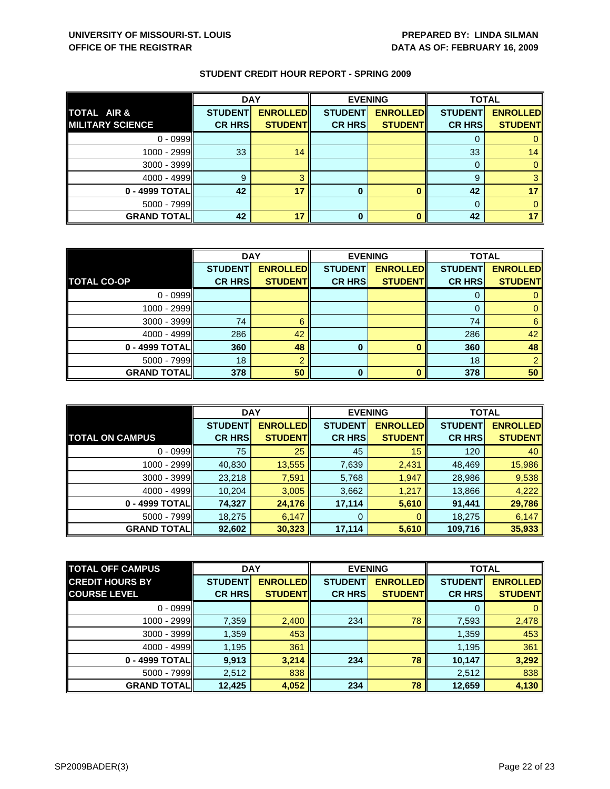|                         | <b>DAY</b>     |                 | <b>EVENING</b> |                 | <b>TOTAL</b>   |                 |
|-------------------------|----------------|-----------------|----------------|-----------------|----------------|-----------------|
| TOTAL AIR &             | <b>STUDENT</b> | <b>ENROLLED</b> | <b>STUDENT</b> | <b>ENROLLED</b> | <b>STUDENT</b> | <b>ENROLLED</b> |
| <b>MILITARY SCIENCE</b> | <b>CR HRS</b>  | <b>STUDENT</b>  | <b>CR HRS</b>  | <b>STUDENT</b>  | <b>CR HRS</b>  | <b>STUDENT</b>  |
| $0 - 0999$              |                |                 |                |                 |                |                 |
| 1000 - 2999             | 33             | 14              |                |                 | 33             | 14              |
| $3000 - 3999$           |                |                 |                |                 |                |                 |
| $4000 - 4999$           | g              |                 |                |                 | 9              |                 |
| 0 - 4999 TOTAL          | 42             | 17              | 0              |                 | 42             |                 |
| 5000 - 7999             |                |                 |                |                 |                |                 |
| <b>GRAND TOTAL</b>      | 42             | 17              |                |                 | 42             |                 |

|                    | <b>DAY</b>     |                 | <b>EVENING</b> |                 | <b>TOTAL</b>   |                 |
|--------------------|----------------|-----------------|----------------|-----------------|----------------|-----------------|
|                    | <b>STUDENT</b> | <b>ENROLLED</b> | <b>STUDENT</b> | <b>ENROLLED</b> | <b>STUDENT</b> | <b>ENROLLED</b> |
| <b>TOTAL CO-OP</b> | <b>CR HRS</b>  | <b>STUDENT</b>  | <b>CR HRS</b>  | <b>STUDENT</b>  | <b>CR HRS</b>  | <b>STUDENT</b>  |
| $0 - 0999$         |                |                 |                |                 |                |                 |
| $1000 - 2999$      |                |                 |                |                 | O              |                 |
| $3000 - 3999$      | 74             | 6               |                |                 | 74             | 6               |
| $4000 - 4999$      | 286            | 42              |                |                 | 286            | 42              |
| 0 - 4999 TOTAL     | 360            | 48              | 0              |                 | 360            | 48              |
| $5000 - 7999$      | 18             |                 |                |                 | 18             |                 |
| <b>GRAND TOTAL</b> | 378            | 50              | $\bf{0}$       |                 | 378            | 50              |

|                        | <b>DAY</b>     |                  |                | <b>EVENING</b>  | <b>TOTAL</b>   |                 |
|------------------------|----------------|------------------|----------------|-----------------|----------------|-----------------|
|                        | <b>STUDENT</b> | <b>ENROLLEDI</b> | <b>STUDENT</b> | <b>ENROLLED</b> | <b>STUDENT</b> | <b>ENROLLED</b> |
| <b>TOTAL ON CAMPUS</b> | <b>CR HRS</b>  | <b>STUDENT</b>   | <b>CR HRS</b>  | <b>STUDENT</b>  | <b>CR HRS</b>  | <b>STUDENT</b>  |
| $0 - 0999$             | 75             | 25               | 45             | 15              | 120            | 40              |
| $1000 - 2999$          | 40,830         | 13,555           | 7,639          | 2,431           | 48,469         | 15,986          |
| $3000 - 3999$          | 23,218         | 7,591            | 5,768          | 1,947           | 28,986         | 9,538           |
| $4000 - 4999$          | 10,204         | 3,005            | 3,662          | 1,217           | 13,866         | 4,222           |
| 0 - 4999 TOTAL         | 74,327         | 24,176           | 17,114         | 5,610           | 91,441         | 29,786          |
| $5000 - 7999$          | 18,275         | 6,147            | $\overline{0}$ | $\Omega$        | 18,275         | 6,147           |
| <b>GRAND TOTALI</b>    | 92,602         | 30,323           | 17,114         | 5,610           | 109,716        | 35,933          |

| <b>TOTAL OFF CAMPUS</b> | <b>DAY</b>     |                 | <b>EVENING</b> |                 | <b>TOTAL</b>   |                 |
|-------------------------|----------------|-----------------|----------------|-----------------|----------------|-----------------|
| <b>CREDIT HOURS BY</b>  | <b>STUDENT</b> | <b>ENROLLED</b> | <b>STUDENT</b> | <b>ENROLLED</b> | <b>STUDENT</b> | <b>ENROLLED</b> |
| <b>COURSE LEVEL</b>     | <b>CR HRS</b>  | <b>STUDENTI</b> | <b>CR HRSI</b> | <b>STUDENT</b>  | <b>CR HRS</b>  | <b>STUDENT</b>  |
| $0 - 0999$              |                |                 |                |                 |                | 0               |
| 1000 - 2999             | 7,359          | 2,400           | 234            | 78              | 7,593          | 2,478           |
| 3000 - 3999             | 1,359          | 453             |                |                 | 1,359          | 453             |
| $4000 - 4999$           | 1,195          | 361             |                |                 | 1,195          | 361             |
| 0 - 4999 TOTALI         | 9,913          | 3,214           | 234            | 78              | 10,147         | 3,292           |
| $5000 - 7999$           | 2,512          | 838             |                |                 | 2,512          | 838             |
| <b>GRAND TOTAL</b>      | 12,425         | 4,052           | 234            | 78              | 12,659         | 4,130           |